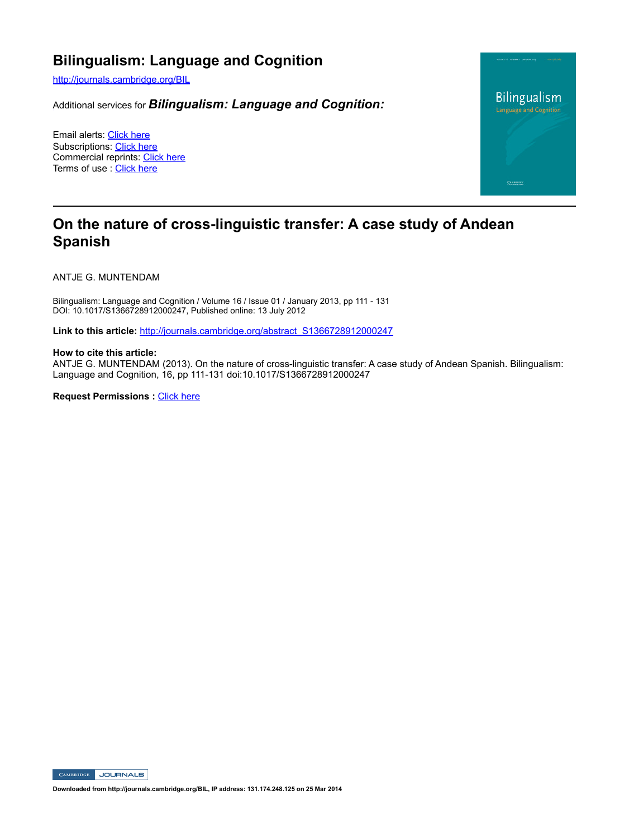# **Bilingualism: Language and Cognition**

http://journals.cambridge.org/BIL

Additional services for *Bilingualism: Language and Cognition:*

Email alerts: Click here Subscriptions: Click here Commercial reprints: Click here Terms of use : Click here



# **On the nature of cross-linguistic transfer: A case study of Andean Spanish**

ANTJE G. MUNTENDAM

Bilingualism: Language and Cognition / Volume 16 / Issue 01 / January 2013, pp 111 - 131 DOI: 10.1017/S1366728912000247, Published online: 13 July 2012

**Link to this article:** http://journals.cambridge.org/abstract\_S1366728912000247

#### **How to cite this article:**

ANTJE G. MUNTENDAM (2013). On the nature of cross-linguistic transfer: A case study of Andean Spanish. Bilingualism: Language and Cognition, 16, pp 111-131 doi:10.1017/S1366728912000247

**Request Permissions :** Click here

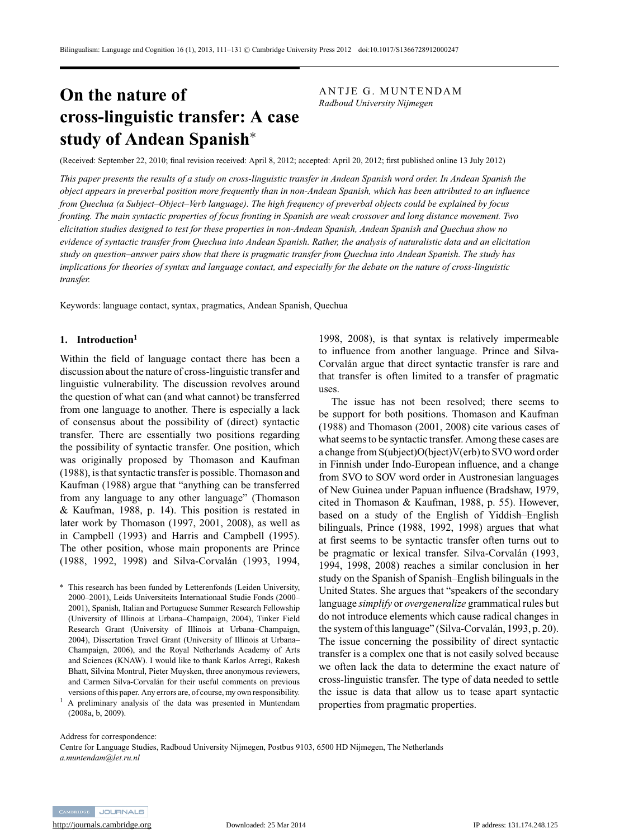# **On the nature of cross-linguistic transfer: A case study of Andean Spanish**<sup>∗</sup>

ANTJE G. MUNTENDAM *Radboud University Nijmegen*

(Received: September 22, 2010; final revision received: April 8, 2012; accepted: April 20, 2012; first published online 13 July 2012)

*This paper presents the results of a study on cross-linguistic transfer in Andean Spanish word order. In Andean Spanish the object appears in preverbal position more frequently than in non-Andean Spanish, which has been attributed to an influence from Quechua (a Subject–Object–Verb language). The high frequency of preverbal objects could be explained by focus fronting. The main syntactic properties of focus fronting in Spanish are weak crossover and long distance movement. Two elicitation studies designed to test for these properties in non-Andean Spanish, Andean Spanish and Quechua show no evidence of syntactic transfer from Quechua into Andean Spanish. Rather, the analysis of naturalistic data and an elicitation study on question–answer pairs show that there is pragmatic transfer from Quechua into Andean Spanish. The study has implications for theories of syntax and language contact, and especially for the debate on the nature of cross-linguistic transfer.*

Keywords: language contact, syntax, pragmatics, Andean Spanish, Quechua

#### **1. Introduction1**

Within the field of language contact there has been a discussion about the nature of cross-linguistic transfer and linguistic vulnerability. The discussion revolves around the question of what can (and what cannot) be transferred from one language to another. There is especially a lack of consensus about the possibility of (direct) syntactic transfer. There are essentially two positions regarding the possibility of syntactic transfer. One position, which was originally proposed by Thomason and Kaufman (1988), is that syntactic transfer is possible. Thomason and Kaufman (1988) argue that "anything can be transferred from any language to any other language" (Thomason & Kaufman, 1988, p. 14). This position is restated in later work by Thomason (1997, 2001, 2008), as well as in Campbell (1993) and Harris and Campbell (1995). The other position, whose main proponents are Prince (1988, 1992, 1998) and Silva-Corvalán (1993, 1994,

\* This research has been funded by Letterenfonds (Leiden University, 2000–2001), Leids Universiteits Internationaal Studie Fonds (2000– 2001), Spanish, Italian and Portuguese Summer Research Fellowship (University of Illinois at Urbana–Champaign, 2004), Tinker Field Research Grant (University of Illinois at Urbana–Champaign, 2004), Dissertation Travel Grant (University of Illinois at Urbana– Champaign, 2006), and the Royal Netherlands Academy of Arts and Sciences (KNAW). I would like to thank Karlos Arregi, Rakesh Bhatt, Silvina Montrul, Pieter Muysken, three anonymous reviewers, and Carmen Silva-Corvalán for their useful comments on previous versions of this paper. Any errors are, of course, my own responsibility.

<sup>1</sup> A preliminary analysis of the data was presented in Muntendam (2008a, b, 2009).

1998, 2008), is that syntax is relatively impermeable to influence from another language. Prince and Silva-Corvalán argue that direct syntactic transfer is rare and that transfer is often limited to a transfer of pragmatic uses.

The issue has not been resolved; there seems to be support for both positions. Thomason and Kaufman (1988) and Thomason (2001, 2008) cite various cases of what seems to be syntactic transfer. Among these cases are a change from S(ubject)O(bject)V(erb) to SVO word order in Finnish under Indo-European influence, and a change from SVO to SOV word order in Austronesian languages of New Guinea under Papuan influence (Bradshaw, 1979, cited in Thomason & Kaufman, 1988, p. 55). However, based on a study of the English of Yiddish–English bilinguals, Prince (1988, 1992, 1998) argues that what at first seems to be syntactic transfer often turns out to be pragmatic or lexical transfer. Silva-Corvalán (1993, 1994, 1998, 2008) reaches a similar conclusion in her study on the Spanish of Spanish–English bilinguals in the United States. She argues that "speakers of the secondary language *simplify* or *overgeneralize* grammatical rules but do not introduce elements which cause radical changes in the system of this language" (Silva-Corvalán, 1993, p. 20). The issue concerning the possibility of direct syntactic transfer is a complex one that is not easily solved because we often lack the data to determine the exact nature of cross-linguistic transfer. The type of data needed to settle the issue is data that allow us to tease apart syntactic properties from pragmatic properties.

Address for correspondence:

Centre for Language Studies, Radboud University Nijmegen, Postbus 9103, 6500 HD Nijmegen, The Netherlands *a.muntendam@let.ru.nl*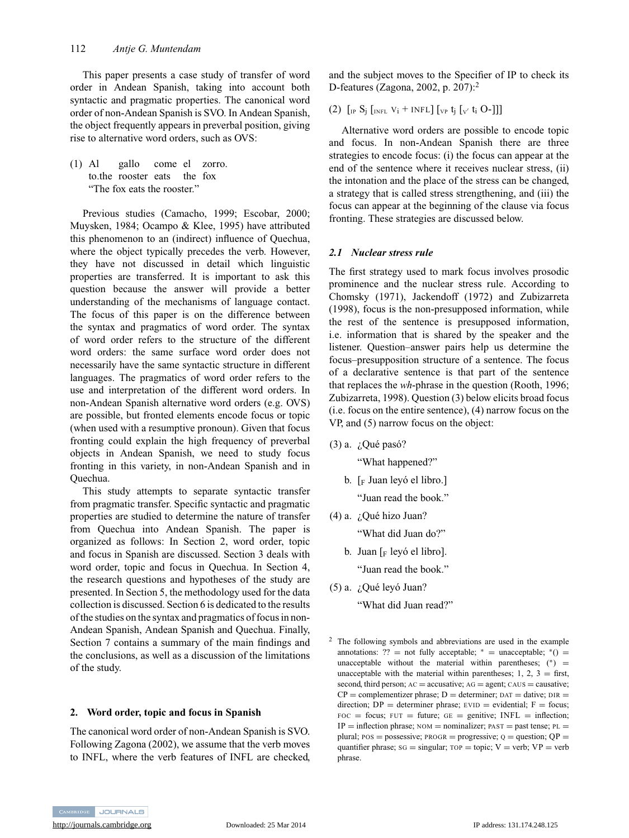This paper presents a case study of transfer of word order in Andean Spanish, taking into account both syntactic and pragmatic properties. The canonical word order of non-Andean Spanish is SVO. In Andean Spanish, the object frequently appears in preverbal position, giving rise to alternative word orders, such as OVS:

(1) Al gallo come el zorro. to.the rooster eats the fox "The fox eats the rooster."

Previous studies (Camacho, 1999; Escobar, 2000; Muysken, 1984; Ocampo & Klee, 1995) have attributed this phenomenon to an (indirect) influence of Quechua, where the object typically precedes the verb. However, they have not discussed in detail which linguistic properties are transferred. It is important to ask this question because the answer will provide a better understanding of the mechanisms of language contact. The focus of this paper is on the difference between the syntax and pragmatics of word order. The syntax of word order refers to the structure of the different word orders: the same surface word order does not necessarily have the same syntactic structure in different languages. The pragmatics of word order refers to the use and interpretation of the different word orders. In non-Andean Spanish alternative word orders (e.g. OVS) are possible, but fronted elements encode focus or topic (when used with a resumptive pronoun). Given that focus fronting could explain the high frequency of preverbal objects in Andean Spanish, we need to study focus fronting in this variety, in non-Andean Spanish and in Quechua.

This study attempts to separate syntactic transfer from pragmatic transfer. Specific syntactic and pragmatic properties are studied to determine the nature of transfer from Quechua into Andean Spanish. The paper is organized as follows: In Section 2, word order, topic and focus in Spanish are discussed. Section 3 deals with word order, topic and focus in Quechua. In Section 4, the research questions and hypotheses of the study are presented. In Section 5, the methodology used for the data collection is discussed. Section 6 is dedicated to the results of the studies on the syntax and pragmatics of focus in non-Andean Spanish, Andean Spanish and Quechua. Finally, Section 7 contains a summary of the main findings and the conclusions, as well as a discussion of the limitations of the study.

## **2. Word order, topic and focus in Spanish**

The canonical word order of non-Andean Spanish is SVO. Following Zagona (2002), we assume that the verb moves to INFL, where the verb features of INFL are checked, and the subject moves to the Specifier of IP to check its D-features (Zagona, 2002, p. 207):2

$$
(2) \ \left[ {_{\rm IP}}\ S_j\ \left[ {_{\rm INFL}}\ v_i + {\rm INFL} \right]\left[ {_{\rm VP}}\ t_j\ \left[ {_{\rm V^{\prime}}}\ t_i\ O\text{-}\right] \right] \right]
$$

Alternative word orders are possible to encode topic and focus. In non-Andean Spanish there are three strategies to encode focus: (i) the focus can appear at the end of the sentence where it receives nuclear stress, (ii) the intonation and the place of the stress can be changed, a strategy that is called stress strengthening, and (iii) the focus can appear at the beginning of the clause via focus fronting. These strategies are discussed below.

#### *2.1 Nuclear stress rule*

The first strategy used to mark focus involves prosodic prominence and the nuclear stress rule. According to Chomsky (1971), Jackendoff (1972) and Zubizarreta (1998), focus is the non-presupposed information, while the rest of the sentence is presupposed information, i.e. information that is shared by the speaker and the listener. Question–answer pairs help us determine the focus–presupposition structure of a sentence. The focus of a declarative sentence is that part of the sentence that replaces the *wh*-phrase in the question (Rooth, 1996; Zubizarreta, 1998). Question (3) below elicits broad focus (i.e. focus on the entire sentence), (4) narrow focus on the VP, and (5) narrow focus on the object:

(3) a.  $\sqrt{2}$  Qué pasó?

"What happened?"

- b.  $\lceil$  Juan leyó el libro.] "Juan read the book."
- (4) a. ¿Qué hizo Juan?
	- "What did Juan do?"
	- b. Juan  $\lceil_F \text{ley} 6 \text{ el libro} \rceil$ .

"Juan read the book."

(5) a. ¿Qué leyó Juan? "What did Juan read?"



<sup>2</sup> The following symbols and abbreviations are used in the example annotations: ?? = not fully acceptable;  $*$  = unacceptable;  $*( ) =$ unacceptable without the material within parentheses;  $(*)$  = unacceptable with the material within parentheses;  $1, 2, 3$  = first, second, third person;  $AC =$  accusative;  $AG =$  agent;  $CAUS =$  causative;  $CP =$  complementizer phrase;  $D =$  determiner;  $DT =$  dative;  $DIR =$ direction;  $DP =$  determiner phrase;  $EVID =$  evidential;  $F =$  focus;  $FOC = focus$ ;  $FUT = future$ ;  $GE = genitive$ ; INFL = inflection;  $IP = inflection phrase$ ;  $NOM = nominalizer$ ;  $PAST = past tense$ ;  $PL =$ plural;  $pos = possessive$ ;  $pros = progressive$ ;  $Q = question$ ;  $QP =$ quantifier phrase;  $SG = singular$ ;  $TOP = topic$ ;  $V = verb$ ;  $VP = verb$ phrase.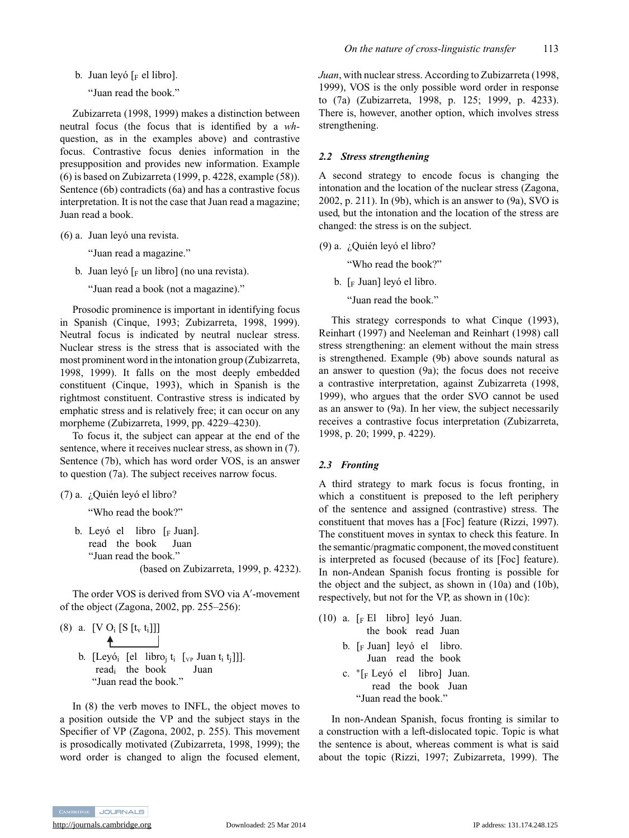b. Juan leyó  $\lceil_F e \rceil$  libro].

"Juan read the book."

Zubizarreta (1998, 1999) makes a distinction between neutral focus (the focus that is identified by a *wh*question, as in the examples above) and contrastive focus. Contrastive focus denies information in the presupposition and provides new information. Example (6) is based on Zubizarreta (1999, p. 4228, example (58)). Sentence (6b) contradicts (6a) and has a contrastive focus interpretation. It is not the case that Juan read a magazine; Juan read a book.

(6) a. Juan leyó una revista.

"Juan read a magazine."

b. Juan leyó  $\lceil_F \text{un libro} \rceil$  (no una revista).

"Juan read a book (not a magazine)."

Prosodic prominence is important in identifying focus in Spanish (Cinque, 1993; Zubizarreta, 1998, 1999). Neutral focus is indicated by neutral nuclear stress. Nuclear stress is the stress that is associated with the most prominent word in the intonation group (Zubizarreta, 1998, 1999). It falls on the most deeply embedded constituent (Cinque, 1993), which in Spanish is the rightmost constituent. Contrastive stress is indicated by emphatic stress and is relatively free; it can occur on any morpheme (Zubizarreta, 1999, pp. 4229–4230).

To focus it, the subject can appear at the end of the sentence, where it receives nuclear stress, as shown in (7). Sentence (7b), which has word order VOS, is an answer to question (7a). The subject receives narrow focus.

(7) a. ¿Quién leyó el libro?

"Who read the book?"

b. Leyó el libro [F Juan]. read the book Juan "Juan read the book." (based on Zubizarreta, 1999, p. 4232).

The order VOS is derived from SVO via A -movement of the object (Zagona, 2002, pp. 255–256):

(8) a. 
$$
[V O_i [S [t_v t_i]]]
$$
\nb.  $[Leyo_i [el libro_j t_i [v_i Juan t_i t_j]]]$ .\nread<sub>i</sub> the book Juan "Juan read the book."

In (8) the verb moves to INFL, the object moves to a position outside the VP and the subject stays in the Specifier of VP (Zagona, 2002, p. 255). This movement is prosodically motivated (Zubizarreta, 1998, 1999); the word order is changed to align the focused element, *Juan*, with nuclear stress. According to Zubizarreta (1998, 1999), VOS is the only possible word order in response to (7a) (Zubizarreta, 1998, p. 125; 1999, p. 4233). There is, however, another option, which involves stress strengthening.

#### *2.2 Stress strengthening*

A second strategy to encode focus is changing the intonation and the location of the nuclear stress (Zagona, 2002, p. 211). In (9b), which is an answer to (9a), SVO is used, but the intonation and the location of the stress are changed: the stress is on the subject.

(9) a. ¿Quién leyó el libro?

"Who read the book?"

b.  $\lceil_{\text{F}}$  Juan] leyó el libro.

"Juan read the book."

This strategy corresponds to what Cinque (1993), Reinhart (1997) and Neeleman and Reinhart (1998) call stress strengthening: an element without the main stress is strengthened. Example (9b) above sounds natural as an answer to question (9a); the focus does not receive a contrastive interpretation, against Zubizarreta (1998, 1999), who argues that the order SVO cannot be used as an answer to (9a). In her view, the subject necessarily receives a contrastive focus interpretation (Zubizarreta, 1998, p. 20; 1999, p. 4229).

## *2.3 Fronting*

A third strategy to mark focus is focus fronting, in which a constituent is preposed to the left periphery of the sentence and assigned (contrastive) stress. The constituent that moves has a [Foc] feature (Rizzi, 1997). The constituent moves in syntax to check this feature. In the semantic/pragmatic component, the moved constituent is interpreted as focused (because of its [Foc] feature). In non-Andean Spanish focus fronting is possible for the object and the subject, as shown in (10a) and (10b), respectively, but not for the VP, as shown in (10c):

| $(10)$ a. [F El libro] leyó Juan.   |
|-------------------------------------|
| the book read Juan                  |
| b. $\lceil_{F}$ Juan leyó el libro. |
| Juan read the book                  |
| c. * [F Leyó el libro] Juan.        |
| read the book Juan                  |
| "Juan read the book."               |
|                                     |

In non-Andean Spanish, focus fronting is similar to a construction with a left-dislocated topic. Topic is what the sentence is about, whereas comment is what is said about the topic (Rizzi, 1997; Zubizarreta, 1999). The

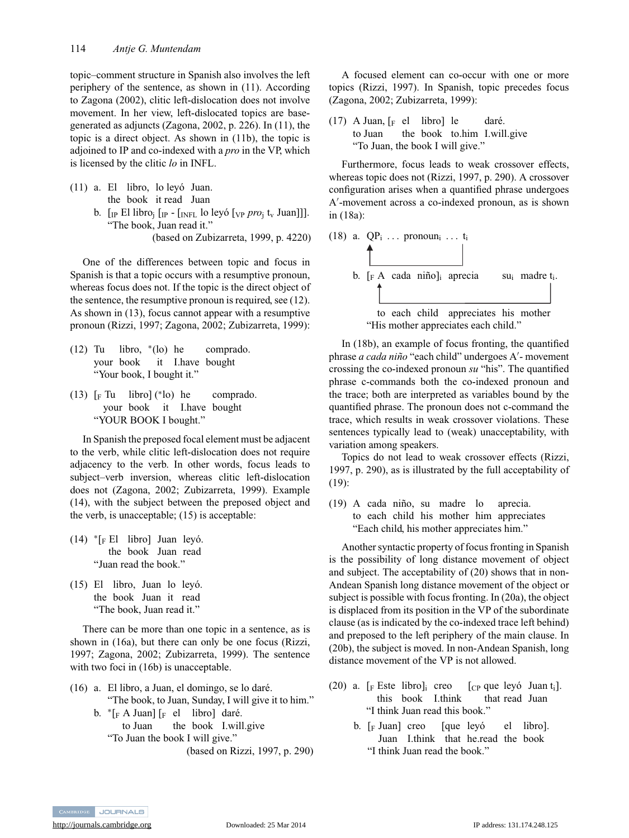topic–comment structure in Spanish also involves the left periphery of the sentence, as shown in (11). According to Zagona (2002), clitic left-dislocation does not involve movement. In her view, left-dislocated topics are basegenerated as adjuncts (Zagona, 2002, p. 226). In (11), the topic is a direct object. As shown in (11b), the topic is adjoined to IP and co-indexed with a *pro* in the VP, which is licensed by the clitic *lo* in INFL.

- (11) a. El libro, lo leyó Juan. the book it read Juan
	- b.  $\left[\text{IP El libro}_i\right]\left[\text{IP [NFL lo ley6 [VP] pro}_i\right]\text{t}_v\text{ Juan}]]$ . "The book, Juan read it."

(based on Zubizarreta, 1999, p. 4220)

One of the differences between topic and focus in Spanish is that a topic occurs with a resumptive pronoun, whereas focus does not. If the topic is the direct object of the sentence, the resumptive pronoun is required, see (12). As shown in (13), focus cannot appear with a resumptive pronoun (Rizzi, 1997; Zagona, 2002; Zubizarreta, 1999):

- (12) Tu libro, <sup>∗</sup>(lo) he comprado. your book it I.have bought "Your book, I bought it."
- (13)  $\lceil F \rceil$  libro] (\*lo) he comprado. your book it I.have bought "YOUR BOOK I bought."

In Spanish the preposed focal element must be adjacent to the verb, while clitic left-dislocation does not require adjacency to the verb. In other words, focus leads to subject–verb inversion, whereas clitic left-dislocation does not (Zagona, 2002; Zubizarreta, 1999). Example (14), with the subject between the preposed object and the verb, is unacceptable; (15) is acceptable:

- (14)  $*$ [F El libro] Juan leyó. the book Juan read "Juan read the book."
- (15) El libro, Juan lo leyó. the book Juan it read "The book, Juan read it."

There can be more than one topic in a sentence, as is shown in (16a), but there can only be one focus (Rizzi, 1997; Zagona, 2002; Zubizarreta, 1999). The sentence with two foci in (16b) is unacceptable.

- (16) a. El libro, a Juan, el domingo, se lo daré. "The book, to Juan, Sunday, I will give it to him."
	- b.  $*$ [F A Juan] [F el libro] daré. to Juan the book I.will.give "To Juan the book I will give."

(based on Rizzi, 1997, p. 290)

A focused element can co-occur with one or more topics (Rizzi, 1997). In Spanish, topic precedes focus (Zagona, 2002; Zubizarreta, 1999):

(17) A Juan,  $\lceil \mathbf{F} \rceil$  el libro] le daré. to Juan the book to.him I.will.give "To Juan, the book I will give."

Furthermore, focus leads to weak crossover effects, whereas topic does not (Rizzi, 1997, p. 290). A crossover configuration arises when a quantified phrase undergoes A -movement across a co-indexed pronoun, as is shown in (18a):



In (18b), an example of focus fronting, the quantified phrase *a cada niño* "each child" undergoes A - movement crossing the co-indexed pronoun *su* "his". The quantified phrase c-commands both the co-indexed pronoun and the trace; both are interpreted as variables bound by the quantified phrase. The pronoun does not c-command the trace, which results in weak crossover violations. These sentences typically lead to (weak) unacceptability, with variation among speakers.

Topics do not lead to weak crossover effects (Rizzi, 1997, p. 290), as is illustrated by the full acceptability of (19):

(19) A cada niño, su madre lo aprecia. to each child his mother him appreciates "Each child, his mother appreciates him."

Another syntactic property of focus fronting in Spanish is the possibility of long distance movement of object and subject. The acceptability of (20) shows that in non-Andean Spanish long distance movement of the object or subject is possible with focus fronting. In (20a), the object is displaced from its position in the VP of the subordinate clause (as is indicated by the co-indexed trace left behind) and preposed to the left periphery of the main clause. In (20b), the subject is moved. In non-Andean Spanish, long distance movement of the VP is not allowed.

- (20) a.  $[F]$  Este libro]<sub>i</sub> creo  $[C]$ <sub>CP</sub> que leyó Juan t<sub>i</sub>]. this book I.think that read Juan "I think Juan read this book."
	- b.  $\lceil$ F Juan] creo  $\lceil$ que leyó el libro]. Juan I.think that he.read the book "I think Juan read the book."

CAMBRIDGE JOURNALS

<http://journals.cambridge.org> Downloaded: 25 Mar 2014 IP address: 131.174.248.125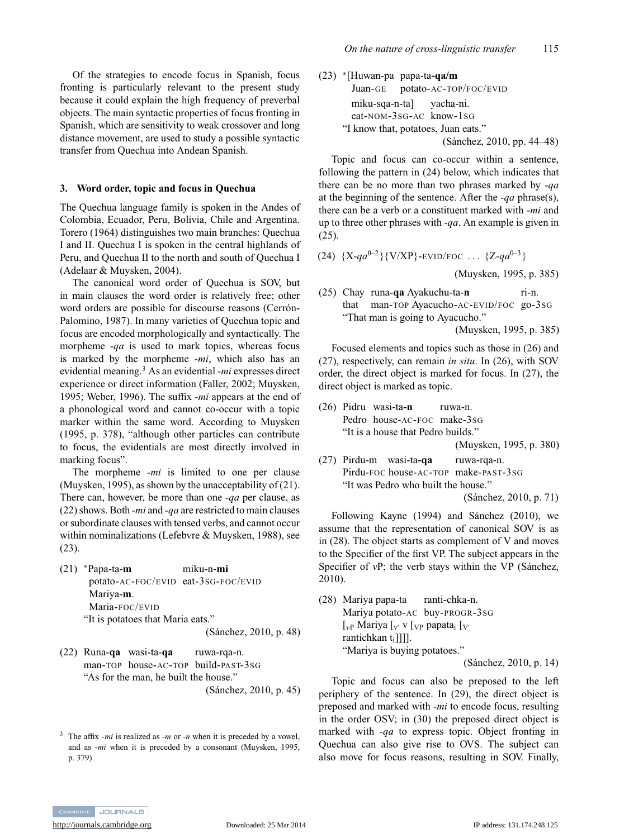Of the strategies to encode focus in Spanish, focus fronting is particularly relevant to the present study because it could explain the high frequency of preverbal objects. The main syntactic properties of focus fronting in Spanish, which are sensitivity to weak crossover and long distance movement, are used to study a possible syntactic transfer from Quechua into Andean Spanish.

#### **3. Word order, topic and focus in Quechua**

The Quechua language family is spoken in the Andes of Colombia, Ecuador, Peru, Bolivia, Chile and Argentina. Torero (1964) distinguishes two main branches: Quechua I and II. Quechua I is spoken in the central highlands of Peru, and Quechua II to the north and south of Quechua I (Adelaar & Muysken, 2004).

The canonical word order of Quechua is SOV, but in main clauses the word order is relatively free; other word orders are possible for discourse reasons (Cerrón-Palomino, 1987). In many varieties of Quechua topic and focus are encoded morphologically and syntactically. The morpheme *-qa* is used to mark topics, whereas focus is marked by the morpheme *-mi*, which also has an evidential meaning.3 As an evidential *-mi* expresses direct experience or direct information (Faller, 2002; Muysken, 1995; Weber, 1996). The suffix *-mi* appears at the end of a phonological word and cannot co-occur with a topic marker within the same word. According to Muysken (1995, p. 378), "although other particles can contribute to focus, the evidentials are most directly involved in marking focus".

The morpheme *-mi* is limited to one per clause (Muysken, 1995), as shown by the unacceptability of (21). There can, however, be more than one *-qa* per clause, as (22) shows. Both *-mi* and *-qa* are restricted to main clauses or subordinate clauses with tensed verbs, and cannot occur within nominalizations (Lefebvre & Muysken, 1988), see (23).

(21) <sup>∗</sup>Papa-ta-**m** miku-n-**mi** potato-AC-FOC/EVID eat-3SG-FOC/EVID Mariya-**m**. Maria-FOC/EVID "It is potatoes that Maria eats."

(Sánchez, 2010, p. 48)

(22) Runa-**qa** wasi-ta-**qa** ruwa-rqa-n. man-TOP house-AC-TOP build-PAST-3SG "As for the man, he built the house." (Sánchez, 2010, p. 45) (23) <sup>∗</sup>[Huwan-pa papa-ta**-qa/m** Juan-GE potato-AC-TOP/FOC/EVID miku-sqa-n-ta] yacha-ni. eat-NOM-3SG-AC know-1SG "I know that, potatoes, Juan eats."

(Sánchez, 2010, pp. 44–48)

Topic and focus can co-occur within a sentence, following the pattern in (24) below, which indicates that there can be no more than two phrases marked by *-qa* at the beginning of the sentence. After the *-qa* phrase(s), there can be a verb or a constituent marked with -*mi* and up to three other phrases with *-qa*. An example is given in (25).

(24)  ${X-qa^{0-2}}$ {V/XP}-EVID/FOC ...  ${Z-qa^{0-3}}$ }

(Muysken, 1995, p. 385)

(25) Chay runa-**qa** Ayakuchu-ta-**n** ri-n. that man-TOP Ayacucho-AC-EVID/FOC go-3SG "That man is going to Ayacucho."

(Muysken, 1995, p. 385)

Focused elements and topics such as those in (26) and (27), respectively, can remain *in situ*. In (26), with SOV order, the direct object is marked for focus. In (27), the direct object is marked as topic.

(26) Pidru wasi-ta**-n** ruwa-n. Pedro house-AC-FOC make-3sG "It is a house that Pedro builds."

(Muysken, 1995, p. 380)

(27) Pirdu-m wasi-ta**-qa** ruwa-rqa-n. Pirdu-FOC house-AC-TOP make-PAST-3SG "It was Pedro who built the house." (Sánchez, 2010, p. 71)

Following Kayne (1994) and Sánchez (2010), we assume that the representation of canonical SOV is as in (28). The object starts as complement of V and moves to the Specifier of the first VP. The subject appears in the Specifier of *vP*; the verb stays within the VP (Sánchez, 2010).

(28) Mariya papa-ta ranti-chka-n. Mariya potato-AC buy-PROGR-3SG  $\int_{V}$ P Mariya  $\int_{V'} v \int_{V}$  papata<sub>i</sub>  $\int_{V'} v$ rantichkan t<sub>i</sub>]]]]. "Mariya is buying potatoes."

(Sánchez, 2010, p. 14)

Topic and focus can also be preposed to the left periphery of the sentence. In (29), the direct object is preposed and marked with *-mi* to encode focus, resulting in the order OSV; in (30) the preposed direct object is marked with *-qa* to express topic. Object fronting in Quechua can also give rise to OVS. The subject can also move for focus reasons, resulting in SOV. Finally,



<sup>3</sup> The affix *-mi* is realized as -*m* or *-n* when it is preceded by a vowel, and as -*mi* when it is preceded by a consonant (Muysken, 1995, p. 379).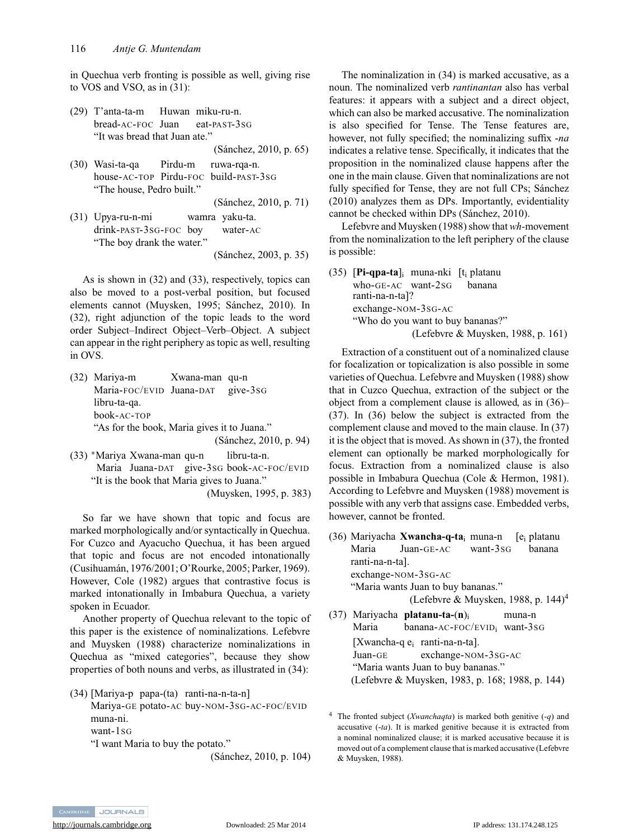in Quechua verb fronting is possible as well, giving rise to VOS and VSO, as in (31):

- (29) T'anta-ta-m Huwan miku-ru-n. bread-AC-FOC Juan eat-PAST-3SG "It was bread that Juan ate." (Sánchez, 2010, p. 65)
- (30) Wasi-ta-qa Pirdu-m ruwa-rqa-n. house-AC-TOP Pirdu-FOC build-PAST-3SG "The house, Pedro built."

(Sánchez, 2010, p. 71)

(31) Upya-ru-n-mi wamra yaku-ta. drink-PAST-3SG-FOC boy water-AC "The boy drank the water." (Sánchez, 2003, p. 35)

As is shown in (32) and (33), respectively, topics can also be moved to a post-verbal position, but focused elements cannot (Muysken, 1995; Sánchez, 2010). In (32), right adjunction of the topic leads to the word order Subject–Indirect Object–Verb–Object. A subject can appear in the right periphery as topic as well, resulting in OVS.

- (32) Mariya-m Xwana-man qu-n Maria-FOC/EVID Juana-DAT give-3SG libru-ta-qa. book-AC-TOP "As for the book, Maria gives it to Juana." (Sánchez, 2010, p. 94)
- (33) <sup>∗</sup>Mariya Xwana-man qu-n libru-ta-n. Maria Juana-DAT give-3SG book-AC-FOC/EVID "It is the book that Maria gives to Juana." (Muysken, 1995, p. 383)

So far we have shown that topic and focus are marked morphologically and/or syntactically in Quechua. For Cuzco and Ayacucho Quechua, it has been argued that topic and focus are not encoded intonationally (Cusihuamán, 1976/2001; O'Rourke, 2005; Parker, 1969). However, Cole (1982) argues that contrastive focus is marked intonationally in Imbabura Quechua, a variety spoken in Ecuador.

Another property of Quechua relevant to the topic of this paper is the existence of nominalizations. Lefebvre and Muysken (1988) characterize nominalizations in Quechua as "mixed categories", because they show properties of both nouns and verbs, as illustrated in (34):

(34) [Mariya-p papa-(ta) ranti-na-n-ta-n]

Mariya-GE potato-AC buy-NOM-3SG-AC-FOC/EVID muna-ni. want-1SG

"I want Maria to buy the potato."

(Sánchez, 2010, p. 104)

The nominalization in (34) is marked accusative, as a noun. The nominalized verb *rantinantan* also has verbal features: it appears with a subject and a direct object, which can also be marked accusative. The nominalization is also specified for Tense. The Tense features are, however, not fully specified; the nominalizing suffix -*na* indicates a relative tense. Specifically, it indicates that the proposition in the nominalized clause happens after the one in the main clause. Given that nominalizations are not fully specified for Tense, they are not full CPs; Sánchez (2010) analyzes them as DPs. Importantly, evidentiality cannot be checked within DPs (Sánchez, 2010).

Lefebvre and Muysken (1988) show that*wh-*movement from the nominalization to the left periphery of the clause is possible:

 $(35)$  **[Pi-qpa-ta**]<sub>i</sub> muna-nki [t<sub>i</sub> platanu] who-GE-AC want-2SG banana ranti-na-n-ta]? exchange-NOM-3SG-AC "Who do you want to buy bananas?" (Lefebvre & Muysken, 1988, p. 161)

Extraction of a constituent out of a nominalized clause for focalization or topicalization is also possible in some varieties of Quechua. Lefebvre and Muysken (1988) show that in Cuzco Quechua, extraction of the subject or the object from a complement clause is allowed, as in (36)– (37). In (36) below the subject is extracted from the complement clause and moved to the main clause. In (37) it is the object that is moved. As shown in (37), the fronted element can optionally be marked morphologically for focus. Extraction from a nominalized clause is also possible in Imbabura Quechua (Cole & Hermon, 1981). According to Lefebvre and Muysken (1988) movement is possible with any verb that assigns case. Embedded verbs, however, cannot be fronted.

- (36) Mariyacha **Xwancha-q-ta**<sup>i</sup> muna-n [ei platanu Maria Juan-GE-AC want-3SG banana ranti-na-n-ta]. exchange-NOM-3SG-AC "Maria wants Juan to buy bananas." (Lefebvre & Muysken, 1988, p. 144)<sup>4</sup>
- (37) Mariyacha **platanu-ta-**(**n**)i muna-n Maria banana-AC-FOC/EVIDi want-3SG [Xwancha-q e<sub>i</sub> ranti-na-n-ta]. Juan-GE exchange-NOM-3SG-AC "Maria wants Juan to buy bananas." (Lefebvre & Muysken, 1983, p. 168; 1988, p. 144)

<http://journals.cambridge.org> Downloaded: 25 Mar 2014 IP address: 131.174.248.125

<sup>4</sup> The fronted subject (*Xwanchaqta*) is marked both genitive (*-q*) and accusative (-*ta*). It is marked genitive because it is extracted from a nominal nominalized clause; it is marked accusative because it is moved out of a complement clause that is marked accusative (Lefebvre & Muysken, 1988).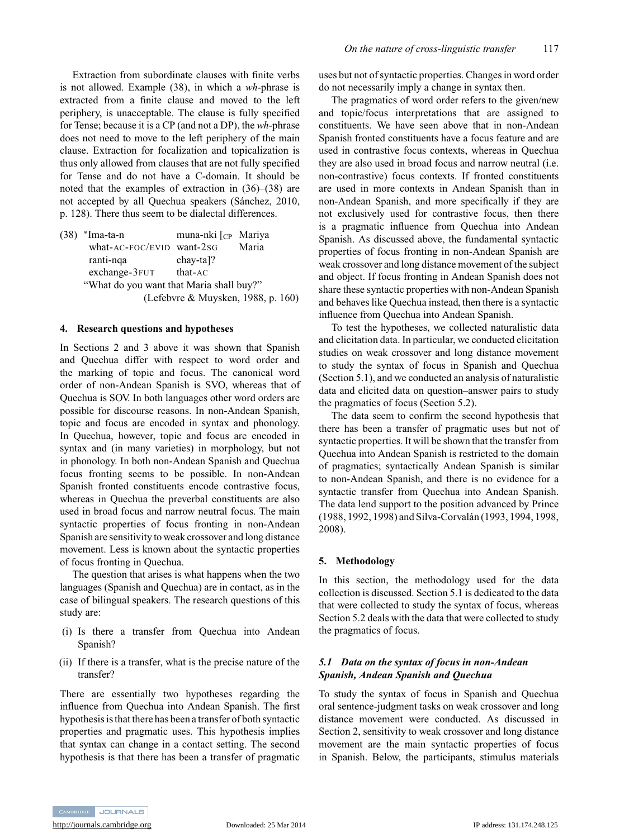Extraction from subordinate clauses with finite verbs is not allowed. Example (38), in which a *wh*-phrase is extracted from a finite clause and moved to the left periphery, is unacceptable. The clause is fully specified for Tense; because it is a CP (and not a DP), the *wh-*phrase does not need to move to the left periphery of the main clause. Extraction for focalization and topicalization is thus only allowed from clauses that are not fully specified for Tense and do not have a C-domain. It should be noted that the examples of extraction in (36)–(38) are not accepted by all Quechua speakers (Sánchez, 2010, p. 128). There thus seem to be dialectal differences.

| $(38)$ *Ima-ta-n                         | muna-nki $\lceil_{CP}$ Mariya |                                    |
|------------------------------------------|-------------------------------|------------------------------------|
| what-AC-FOC/EVID want-2sG                |                               | Maria                              |
| ranti-nqa                                | $chay-ta$ ?                   |                                    |
| exchange-3FUT                            | that-AC                       |                                    |
| "What do you want that Maria shall buy?" |                               |                                    |
|                                          |                               | (Lefebvre & Muysken, 1988, p. 160) |
|                                          |                               |                                    |

#### **4. Research questions and hypotheses**

In Sections 2 and 3 above it was shown that Spanish and Quechua differ with respect to word order and the marking of topic and focus. The canonical word order of non-Andean Spanish is SVO, whereas that of Quechua is SOV. In both languages other word orders are possible for discourse reasons. In non-Andean Spanish, topic and focus are encoded in syntax and phonology. In Quechua, however, topic and focus are encoded in syntax and (in many varieties) in morphology, but not in phonology. In both non-Andean Spanish and Quechua focus fronting seems to be possible. In non-Andean Spanish fronted constituents encode contrastive focus, whereas in Quechua the preverbal constituents are also used in broad focus and narrow neutral focus. The main syntactic properties of focus fronting in non-Andean Spanish are sensitivity to weak crossover and long distance movement. Less is known about the syntactic properties of focus fronting in Quechua.

The question that arises is what happens when the two languages (Spanish and Quechua) are in contact, as in the case of bilingual speakers. The research questions of this study are:

- (i) Is there a transfer from Quechua into Andean Spanish?
- (ii) If there is a transfer, what is the precise nature of the transfer?

There are essentially two hypotheses regarding the influence from Quechua into Andean Spanish. The first hypothesis is that there has been a transfer of both syntactic properties and pragmatic uses. This hypothesis implies that syntax can change in a contact setting. The second hypothesis is that there has been a transfer of pragmatic

uses but not of syntactic properties. Changes in word order do not necessarily imply a change in syntax then.

The pragmatics of word order refers to the given/new and topic/focus interpretations that are assigned to constituents. We have seen above that in non-Andean Spanish fronted constituents have a focus feature and are used in contrastive focus contexts, whereas in Quechua they are also used in broad focus and narrow neutral (i.e. non-contrastive) focus contexts. If fronted constituents are used in more contexts in Andean Spanish than in non-Andean Spanish, and more specifically if they are not exclusively used for contrastive focus, then there is a pragmatic influence from Quechua into Andean Spanish. As discussed above, the fundamental syntactic properties of focus fronting in non-Andean Spanish are weak crossover and long distance movement of the subject and object. If focus fronting in Andean Spanish does not share these syntactic properties with non-Andean Spanish and behaves like Quechua instead, then there is a syntactic influence from Quechua into Andean Spanish.

To test the hypotheses, we collected naturalistic data and elicitation data. In particular, we conducted elicitation studies on weak crossover and long distance movement to study the syntax of focus in Spanish and Quechua (Section 5.1), and we conducted an analysis of naturalistic data and elicited data on question–answer pairs to study the pragmatics of focus (Section 5.2).

The data seem to confirm the second hypothesis that there has been a transfer of pragmatic uses but not of syntactic properties. It will be shown that the transfer from Quechua into Andean Spanish is restricted to the domain of pragmatics; syntactically Andean Spanish is similar to non-Andean Spanish, and there is no evidence for a syntactic transfer from Quechua into Andean Spanish. The data lend support to the position advanced by Prince (1988, 1992, 1998) and Silva-Corvalán (1993, 1994, 1998, 2008).

#### **5. Methodology**

In this section, the methodology used for the data collection is discussed. Section 5.1 is dedicated to the data that were collected to study the syntax of focus, whereas Section 5.2 deals with the data that were collected to study the pragmatics of focus.

### *5.1 Data on the syntax of focus in non-Andean Spanish, Andean Spanish and Quechua*

To study the syntax of focus in Spanish and Quechua oral sentence-judgment tasks on weak crossover and long distance movement were conducted. As discussed in Section 2, sensitivity to weak crossover and long distance movement are the main syntactic properties of focus in Spanish. Below, the participants, stimulus materials

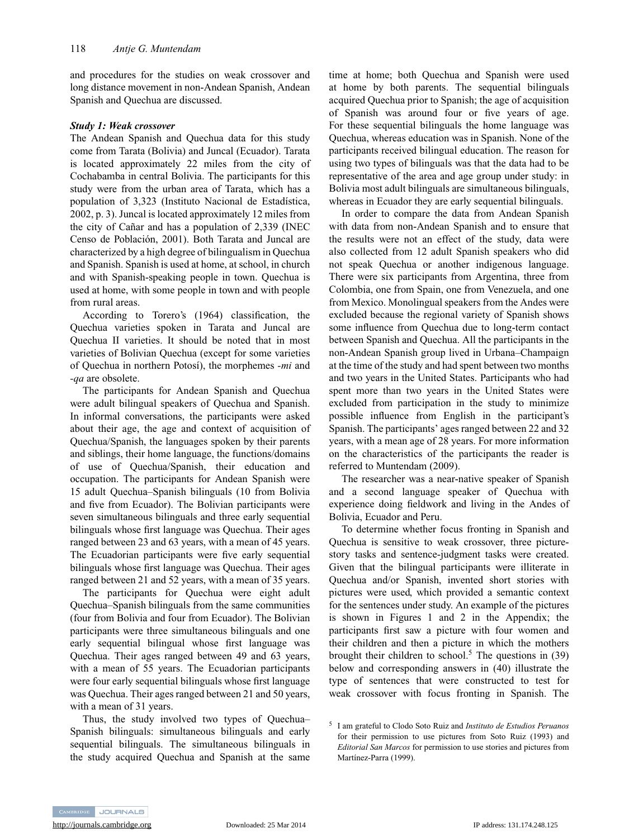and procedures for the studies on weak crossover and long distance movement in non-Andean Spanish, Andean Spanish and Quechua are discussed.

## *Study 1: Weak crossover*

The Andean Spanish and Quechua data for this study come from Tarata (Bolivia) and Juncal (Ecuador). Tarata is located approximately 22 miles from the city of Cochabamba in central Bolivia. The participants for this study were from the urban area of Tarata, which has a population of 3,323 (Instituto Nacional de Estadística, 2002, p. 3). Juncal is located approximately 12 miles from the city of Cañar and has a population of 2,339 (INEC Censo de Población, 2001). Both Tarata and Juncal are characterized by a high degree of bilingualism in Quechua and Spanish. Spanish is used at home, at school, in church and with Spanish-speaking people in town. Quechua is used at home, with some people in town and with people from rural areas.

According to Torero's (1964) classification, the Quechua varieties spoken in Tarata and Juncal are Quechua II varieties. It should be noted that in most varieties of Bolivian Quechua (except for some varieties of Quechua in northern Potosí), the morphemes *-mi* and *-qa* are obsolete.

The participants for Andean Spanish and Quechua were adult bilingual speakers of Quechua and Spanish. In informal conversations, the participants were asked about their age, the age and context of acquisition of Quechua/Spanish, the languages spoken by their parents and siblings, their home language, the functions/domains of use of Quechua/Spanish, their education and occupation. The participants for Andean Spanish were 15 adult Quechua–Spanish bilinguals (10 from Bolivia and five from Ecuador). The Bolivian participants were seven simultaneous bilinguals and three early sequential bilinguals whose first language was Quechua. Their ages ranged between 23 and 63 years, with a mean of 45 years. The Ecuadorian participants were five early sequential bilinguals whose first language was Quechua. Their ages ranged between 21 and 52 years, with a mean of 35 years.

The participants for Quechua were eight adult Quechua–Spanish bilinguals from the same communities (four from Bolivia and four from Ecuador). The Bolivian participants were three simultaneous bilinguals and one early sequential bilingual whose first language was Quechua. Their ages ranged between 49 and 63 years, with a mean of 55 years. The Ecuadorian participants were four early sequential bilinguals whose first language was Quechua. Their ages ranged between 21 and 50 years, with a mean of 31 years.

Thus, the study involved two types of Quechua– Spanish bilinguals: simultaneous bilinguals and early sequential bilinguals. The simultaneous bilinguals in the study acquired Quechua and Spanish at the same time at home; both Quechua and Spanish were used at home by both parents. The sequential bilinguals acquired Quechua prior to Spanish; the age of acquisition of Spanish was around four or five years of age. For these sequential bilinguals the home language was Quechua, whereas education was in Spanish. None of the participants received bilingual education. The reason for using two types of bilinguals was that the data had to be representative of the area and age group under study: in Bolivia most adult bilinguals are simultaneous bilinguals, whereas in Ecuador they are early sequential bilinguals.

In order to compare the data from Andean Spanish with data from non-Andean Spanish and to ensure that the results were not an effect of the study, data were also collected from 12 adult Spanish speakers who did not speak Quechua or another indigenous language. There were six participants from Argentina, three from Colombia, one from Spain, one from Venezuela, and one from Mexico. Monolingual speakers from the Andes were excluded because the regional variety of Spanish shows some influence from Quechua due to long-term contact between Spanish and Quechua. All the participants in the non-Andean Spanish group lived in Urbana–Champaign at the time of the study and had spent between two months and two years in the United States. Participants who had spent more than two years in the United States were excluded from participation in the study to minimize possible influence from English in the participant's Spanish. The participants' ages ranged between 22 and 32 years, with a mean age of 28 years. For more information on the characteristics of the participants the reader is referred to Muntendam (2009).

The researcher was a near-native speaker of Spanish and a second language speaker of Quechua with experience doing fieldwork and living in the Andes of Bolivia, Ecuador and Peru.

To determine whether focus fronting in Spanish and Quechua is sensitive to weak crossover, three picturestory tasks and sentence-judgment tasks were created. Given that the bilingual participants were illiterate in Quechua and/or Spanish, invented short stories with pictures were used, which provided a semantic context for the sentences under study. An example of the pictures is shown in Figures 1 and 2 in the Appendix; the participants first saw a picture with four women and their children and then a picture in which the mothers brought their children to school.<sup>5</sup> The questions in  $(39)$ below and corresponding answers in (40) illustrate the type of sentences that were constructed to test for weak crossover with focus fronting in Spanish. The



<http://journals.cambridge.org> Downloaded: 25 Mar 2014 IP address: 131.174.248.125

<sup>5</sup> I am grateful to Clodo Soto Ruiz and *Instituto de Estudios Peruanos* for their permission to use pictures from Soto Ruiz (1993) and *Editorial San Marcos* for permission to use stories and pictures from Martínez-Parra (1999).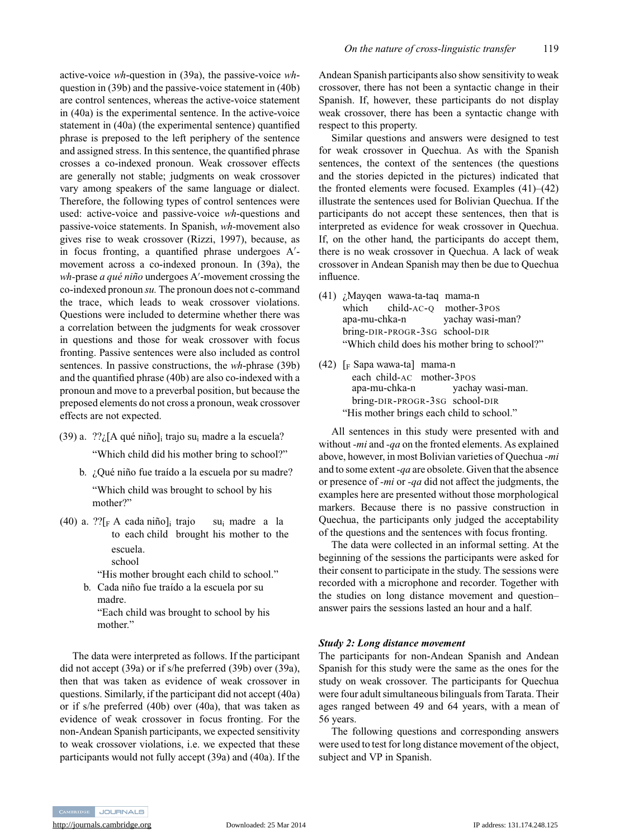active-voice *wh*-question in (39a), the passive-voice *wh*question in (39b) and the passive-voice statement in (40b) are control sentences, whereas the active-voice statement in (40a) is the experimental sentence. In the active-voice statement in (40a) (the experimental sentence) quantified phrase is preposed to the left periphery of the sentence and assigned stress. In this sentence, the quantified phrase crosses a co-indexed pronoun. Weak crossover effects are generally not stable; judgments on weak crossover vary among speakers of the same language or dialect. Therefore, the following types of control sentences were used: active-voice and passive-voice *wh*-questions and passive-voice statements. In Spanish, *wh-*movement also gives rise to weak crossover (Rizzi, 1997), because, as in focus fronting, a quantified phrase undergoes A movement across a co-indexed pronoun. In (39a), the *wh-*prase *a qué niño* undergoes A -movement crossing the co-indexed pronoun *su.* The pronoun does not c-command the trace, which leads to weak crossover violations. Questions were included to determine whether there was a correlation between the judgments for weak crossover in questions and those for weak crossover with focus fronting. Passive sentences were also included as control sentences. In passive constructions, the *wh*-phrase (39b) and the quantified phrase (40b) are also co-indexed with a pronoun and move to a preverbal position, but because the preposed elements do not cross a pronoun, weak crossover effects are not expected.

(39) a. ??¿[A qué niño]<sub>i</sub> trajo su<sub>i</sub> madre a la escuela?

"Which child did his mother bring to school?"

- b. ¿Qué niño fue traído a la escuela por su madre? "Which child was brought to school by his mother?"
- (40) a. ?? $\lbrack F \rbrack F$  A cada niño $\lbrack$ i trajo su<sub>i</sub> madre a la to each child brought his mother to the escuela. school

"His mother brought each child to school."

b. Cada niño fue traído a la escuela por su madre. "Each child was brought to school by his

mother."

The data were interpreted as follows. If the participant did not accept (39a) or if s/he preferred (39b) over (39a), then that was taken as evidence of weak crossover in questions. Similarly, if the participant did not accept (40a) or if s/he preferred (40b) over (40a), that was taken as evidence of weak crossover in focus fronting. For the non-Andean Spanish participants, we expected sensitivity to weak crossover violations, i.e. we expected that these participants would not fully accept (39a) and (40a). If the

Andean Spanish participants also show sensitivity to weak crossover, there has not been a syntactic change in their Spanish. If, however, these participants do not display weak crossover, there has been a syntactic change with respect to this property.

Similar questions and answers were designed to test for weak crossover in Quechua. As with the Spanish sentences, the context of the sentences (the questions and the stories depicted in the pictures) indicated that the fronted elements were focused. Examples (41)–(42) illustrate the sentences used for Bolivian Quechua. If the participants do not accept these sentences, then that is interpreted as evidence for weak crossover in Quechua. If, on the other hand, the participants do accept them, there is no weak crossover in Quechua. A lack of weak crossover in Andean Spanish may then be due to Quechua influence.

- (41) ¿Mayqen wawa-ta-taq mama-n which child-AC-Q mother-3POS<br>apa-mu-chka-n yachay wasi-r yachay wasi-man? bring-DIR-PROGR-3SG school-DIR "Which child does his mother bring to school?"
- $(42)$  [F Sapa wawa-ta] mama-n each child-AC mother-3POS apa-mu-chka-n yachay wasi-man. bring-DIR-PROGR-3SG school-DIR "His mother brings each child to school."

All sentences in this study were presented with and without *-mi* and *-qa* on the fronted elements. As explained above, however, in most Bolivian varieties of Quechua *-mi* and to some extent*-qa* are obsolete. Given that the absence or presence of *-mi* or *-qa* did not affect the judgments, the examples here are presented without those morphological markers. Because there is no passive construction in Quechua, the participants only judged the acceptability of the questions and the sentences with focus fronting.

The data were collected in an informal setting. At the beginning of the sessions the participants were asked for their consent to participate in the study. The sessions were recorded with a microphone and recorder. Together with the studies on long distance movement and question– answer pairs the sessions lasted an hour and a half.

## *Study 2: Long distance movement*

The participants for non-Andean Spanish and Andean Spanish for this study were the same as the ones for the study on weak crossover. The participants for Quechua were four adult simultaneous bilinguals from Tarata. Their ages ranged between 49 and 64 years, with a mean of 56 years.

The following questions and corresponding answers were used to test for long distance movement of the object, subject and VP in Spanish.

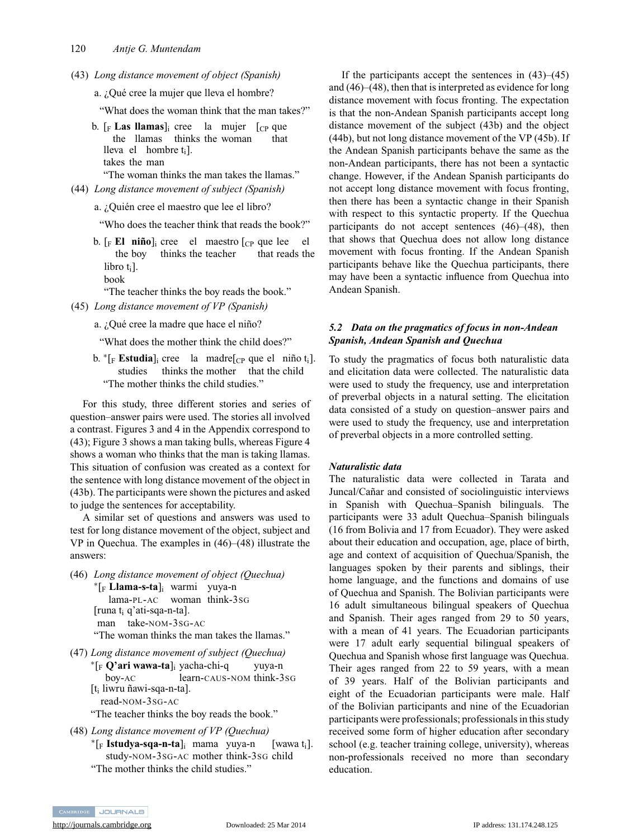(43) *Long distance movement of object (Spanish)*

a. ¿Qué cree la mujer que lleva el hombre?

"What does the woman think that the man takes?"

- b.  $\lceil_{\text{F}} \text{Las llamas} \rceil$  cree la mujer  $\lceil_{\text{CP}} \text{ que} \rceil$ the llamas thinks the woman that lleva el hombre  $t_i$ ]. takes the man
- "The woman thinks the man takes the llamas."

(44) *Long distance movement of subject (Spanish)*

a. ¿Quién cree el maestro que lee el libro?

"Who does the teacher think that reads the book?"

b.  $\lceil_{\text{F}} \mathbf{E} \rceil$  **niño**]<sub>i</sub> cree el maestro  $\lceil_{\text{CP}} \rceil$  que lee el the boy thinks the teacher that reads the libro  $t_i$ ]. book

"The teacher thinks the boy reads the book."

(45) *Long distance movement of VP (Spanish)*

a. ¿Qué cree la madre que hace el niño?

"What does the mother think the child does?"

b.  ${}^*$ [F **Estudia**]<sub>i</sub> cree la madre[<sub>CP</sub> que el niño t<sub>i</sub>]. studies thinks the mother that the child "The mother thinks the child studies."

For this study, three different stories and series of question–answer pairs were used. The stories all involved a contrast. Figures 3 and 4 in the Appendix correspond to (43); Figure 3 shows a man taking bulls, whereas Figure 4 shows a woman who thinks that the man is taking llamas. This situation of confusion was created as a context for the sentence with long distance movement of the object in (43b). The participants were shown the pictures and asked to judge the sentences for acceptability.

A similar set of questions and answers was used to test for long distance movement of the object, subject and VP in Quechua. The examples in (46)–(48) illustrate the answers:

(46) *Long distance movement of object (Quechua)* <sup>∗</sup>[F **Llama-s-ta**]i warmi yuya-n lama-PL-AC woman think-3SG [runa  $t_i$  q'ati-sqa-n-ta]. man take-NOM-3SG-AC

"The woman thinks the man takes the llamas."

- (47) *Long distance movement of subject (Quechua)*
	- <sup>∗</sup>[F **Q'ari wawa-ta**]i yacha-chi-q yuya-n boy-AC learn-CAUS-NOM think-3SG

 $[t_i]$  liwru ñawi-sqa-n-ta]. read-NOM-3SG-AC

"The teacher thinks the boy reads the book."

- (48) *Long distance movement of VP (Quechua)*
	- <sup>∗</sup>[F **Istudya-sqa-n-ta**]i mama yuya-n [wawa ti]. study-NOM-3SG-AC mother think-3SG child "The mother thinks the child studies."

If the participants accept the sentences in  $(43)$ – $(45)$ and (46)–(48), then that is interpreted as evidence for long distance movement with focus fronting. The expectation is that the non-Andean Spanish participants accept long distance movement of the subject (43b) and the object (44b), but not long distance movement of the VP (45b). If the Andean Spanish participants behave the same as the non-Andean participants, there has not been a syntactic change. However, if the Andean Spanish participants do not accept long distance movement with focus fronting, then there has been a syntactic change in their Spanish with respect to this syntactic property. If the Quechua participants do not accept sentences (46)–(48), then that shows that Quechua does not allow long distance movement with focus fronting. If the Andean Spanish participants behave like the Quechua participants, there may have been a syntactic influence from Quechua into Andean Spanish.

## *5.2 Data on the pragmatics of focus in non-Andean Spanish, Andean Spanish and Quechua*

To study the pragmatics of focus both naturalistic data and elicitation data were collected. The naturalistic data were used to study the frequency, use and interpretation of preverbal objects in a natural setting. The elicitation data consisted of a study on question–answer pairs and were used to study the frequency, use and interpretation of preverbal objects in a more controlled setting.

#### *Naturalistic data*

The naturalistic data were collected in Tarata and Juncal/Cañar and consisted of sociolinguistic interviews in Spanish with Quechua–Spanish bilinguals. The participants were 33 adult Quechua–Spanish bilinguals (16 from Bolivia and 17 from Ecuador). They were asked about their education and occupation, age, place of birth, age and context of acquisition of Quechua/Spanish, the languages spoken by their parents and siblings, their home language, and the functions and domains of use of Quechua and Spanish. The Bolivian participants were 16 adult simultaneous bilingual speakers of Quechua and Spanish. Their ages ranged from 29 to 50 years, with a mean of 41 years. The Ecuadorian participants were 17 adult early sequential bilingual speakers of Quechua and Spanish whose first language was Quechua. Their ages ranged from 22 to 59 years, with a mean of 39 years. Half of the Bolivian participants and eight of the Ecuadorian participants were male. Half of the Bolivian participants and nine of the Ecuadorian participants were professionals; professionals in this study received some form of higher education after secondary school (e.g. teacher training college, university), whereas non-professionals received no more than secondary education.

CAMBRIDGE JOURNALS

<http://journals.cambridge.org> Downloaded: 25 Mar 2014 IP address: 131.174.248.125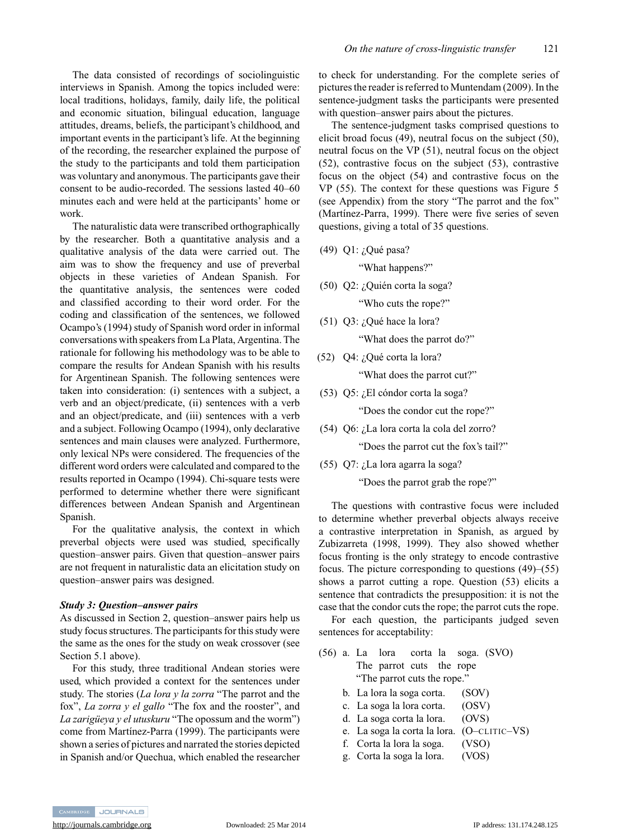The data consisted of recordings of sociolinguistic interviews in Spanish. Among the topics included were: local traditions, holidays, family, daily life, the political and economic situation, bilingual education, language attitudes, dreams, beliefs, the participant's childhood, and important events in the participant's life. At the beginning of the recording, the researcher explained the purpose of the study to the participants and told them participation was voluntary and anonymous. The participants gave their consent to be audio-recorded. The sessions lasted 40–60 minutes each and were held at the participants' home or work.

The naturalistic data were transcribed orthographically by the researcher. Both a quantitative analysis and a qualitative analysis of the data were carried out. The aim was to show the frequency and use of preverbal objects in these varieties of Andean Spanish. For the quantitative analysis, the sentences were coded and classified according to their word order. For the coding and classification of the sentences, we followed Ocampo's (1994) study of Spanish word order in informal conversations with speakers from La Plata, Argentina. The rationale for following his methodology was to be able to compare the results for Andean Spanish with his results for Argentinean Spanish. The following sentences were taken into consideration: (i) sentences with a subject, a verb and an object/predicate, (ii) sentences with a verb and an object/predicate, and (iii) sentences with a verb and a subject. Following Ocampo (1994), only declarative sentences and main clauses were analyzed. Furthermore, only lexical NPs were considered. The frequencies of the different word orders were calculated and compared to the results reported in Ocampo (1994). Chi-square tests were performed to determine whether there were significant differences between Andean Spanish and Argentinean Spanish.

For the qualitative analysis, the context in which preverbal objects were used was studied, specifically question–answer pairs. Given that question–answer pairs are not frequent in naturalistic data an elicitation study on question–answer pairs was designed.

#### *Study 3: Question–answer pairs*

As discussed in Section 2, question–answer pairs help us study focus structures. The participants for this study were the same as the ones for the study on weak crossover (see Section 5.1 above).

For this study, three traditional Andean stories were used, which provided a context for the sentences under study. The stories (*La lora y la zorra* "The parrot and the fox", *La zorra y el gallo* "The fox and the rooster", and *La zarigüeya y el utuskuru* "The opossum and the worm") come from Martínez-Parra (1999). The participants were shown a series of pictures and narrated the stories depicted in Spanish and/or Quechua, which enabled the researcher to check for understanding. For the complete series of pictures the reader is referred to Muntendam (2009). In the sentence-judgment tasks the participants were presented with question–answer pairs about the pictures.

The sentence-judgment tasks comprised questions to elicit broad focus (49), neutral focus on the subject (50), neutral focus on the VP (51), neutral focus on the object (52), contrastive focus on the subject (53), contrastive focus on the object (54) and contrastive focus on the VP (55). The context for these questions was Figure 5 (see Appendix) from the story "The parrot and the fox" (Martínez-Parra, 1999). There were five series of seven questions, giving a total of 35 questions.

(49) Q1: ¿Qué pasa?

"What happens?"

- (50) Q2: ¿Quién corta la soga? "Who cuts the rope?"
- (51) Q3: ¿Qué hace la lora? "What does the parrot do?"
- (52) Q4: ¿Qué corta la lora? "What does the parrot cut?"
- (53) Q5: ¿El cóndor corta la soga?

"Does the condor cut the rope?"

(54) Q6: ¿La lora corta la cola del zorro?

"Does the parrot cut the fox's tail?"

(55) Q7: ¿La lora agarra la soga?

"Does the parrot grab the rope?"

The questions with contrastive focus were included to determine whether preverbal objects always receive a contrastive interpretation in Spanish, as argued by Zubizarreta (1998, 1999). They also showed whether focus fronting is the only strategy to encode contrastive focus. The picture corresponding to questions (49)–(55) shows a parrot cutting a rope. Question (53) elicits a sentence that contradicts the presupposition: it is not the case that the condor cuts the rope; the parrot cuts the rope.

For each question, the participants judged seven sentences for acceptability:

- (56) a. La lora corta la soga. (SVO) The parrot cuts the rope "The parrot cuts the rope."
	- b. La lora la soga corta. (SOV)
	- c. La soga la lora corta. (OSV)
	- d. La soga corta la lora. (OVS)
	- e. La soga la corta la lora. (O–CLITIC–VS)
	- f. Corta la lora la soga. (VSO)
	- g. Corta la soga la lora. (VOS)



<http://journals.cambridge.org> Downloaded: 25 Mar 2014 IP address: 131.174.248.125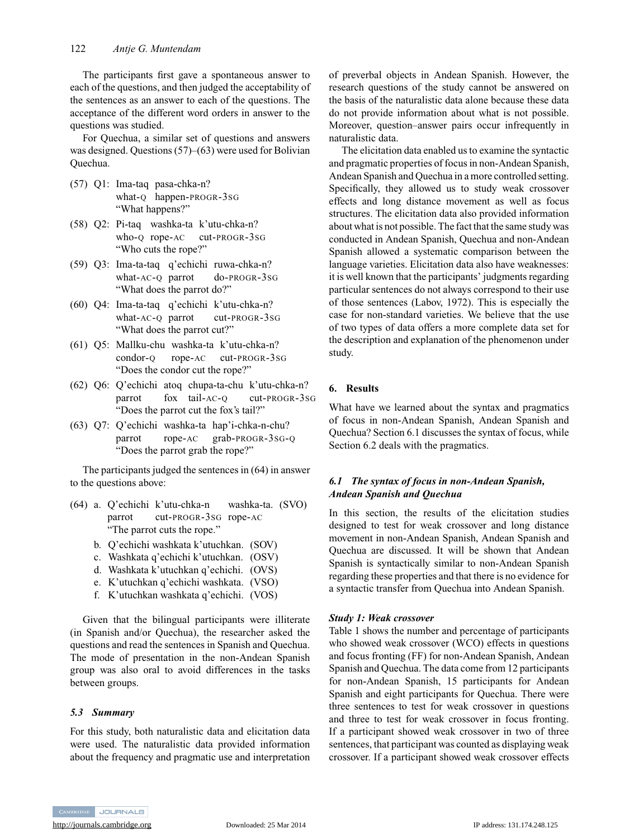The participants first gave a spontaneous answer to each of the questions, and then judged the acceptability of the sentences as an answer to each of the questions. The acceptance of the different word orders in answer to the questions was studied.

For Quechua, a similar set of questions and answers was designed. Questions (57)–(63) were used for Bolivian Quechua.

- (57) Q1: Ima-taq pasa-chka-n? what-Q happen-PROGR-3SG "What happens?"
- (58) Q2: Pi-taq washka-ta k'utu-chka-n? who-Q rope-AC cut-PROGR-3SG "Who cuts the rope?"
- (59) Q3: Ima-ta-taq q'echichi ruwa-chka-n? what-AC-Q parrot do-PROGR-3SG "What does the parrot do?"
- (60) Q4: Ima-ta-taq q'echichi k'utu-chka-n? what-AC-Q parrot cut-PROGR-3SG "What does the parrot cut?"
- (61) Q5: Mallku-chu washka-ta k'utu-chka-n? condor-Q rope-AC cut-PROGR-3SG "Does the condor cut the rope?"
- (62) Q6: Q'echichi atoq chupa-ta-chu k'utu-chka-n? parrot fox tail-AC-Q cut-PROGR-3SG "Does the parrot cut the fox's tail?"
- (63) Q7: Q'echichi washka-ta hap'i-chka-n-chu? parrot rope-AC grab-PROGR-3SG-Q "Does the parrot grab the rope?"

The participants judged the sentences in (64) in answer to the questions above:

- (64) a. Q'echichi k'utu-chka-n washka-ta. (SVO) parrot cut-PROGR-3SG rope-AC "The parrot cuts the rope."
	- b. Q'echichi washkata k'utuchkan. (SOV)
	- c. Washkata q'echichi k'utuchkan. (OSV)
	- d. Washkata k'utuchkan q'echichi. (OVS)
	- e. K'utuchkan q'echichi washkata. (VSO)
	- f. K'utuchkan washkata q'echichi. (VOS)

Given that the bilingual participants were illiterate (in Spanish and/or Quechua), the researcher asked the questions and read the sentences in Spanish and Quechua. The mode of presentation in the non-Andean Spanish group was also oral to avoid differences in the tasks between groups.

## *5.3 Summary*

For this study, both naturalistic data and elicitation data were used. The naturalistic data provided information about the frequency and pragmatic use and interpretation of preverbal objects in Andean Spanish. However, the research questions of the study cannot be answered on the basis of the naturalistic data alone because these data do not provide information about what is not possible. Moreover, question–answer pairs occur infrequently in naturalistic data.

The elicitation data enabled us to examine the syntactic and pragmatic properties of focus in non-Andean Spanish, Andean Spanish and Quechua in a more controlled setting. Specifically, they allowed us to study weak crossover effects and long distance movement as well as focus structures. The elicitation data also provided information about what is not possible. The fact that the same study was conducted in Andean Spanish, Quechua and non-Andean Spanish allowed a systematic comparison between the language varieties. Elicitation data also have weaknesses: it is well known that the participants' judgments regarding particular sentences do not always correspond to their use of those sentences (Labov, 1972). This is especially the case for non-standard varieties. We believe that the use of two types of data offers a more complete data set for the description and explanation of the phenomenon under study.

## **6. Results**

What have we learned about the syntax and pragmatics of focus in non-Andean Spanish, Andean Spanish and Quechua? Section 6.1 discusses the syntax of focus, while Section 6.2 deals with the pragmatics.

## *6.1 The syntax of focus in non-Andean Spanish, Andean Spanish and Quechua*

In this section, the results of the elicitation studies designed to test for weak crossover and long distance movement in non-Andean Spanish, Andean Spanish and Quechua are discussed. It will be shown that Andean Spanish is syntactically similar to non-Andean Spanish regarding these properties and that there is no evidence for a syntactic transfer from Quechua into Andean Spanish.

## *Study 1: Weak crossover*

Table 1 shows the number and percentage of participants who showed weak crossover (WCO) effects in questions and focus fronting (FF) for non-Andean Spanish, Andean Spanish and Quechua. The data come from 12 participants for non-Andean Spanish, 15 participants for Andean Spanish and eight participants for Quechua. There were three sentences to test for weak crossover in questions and three to test for weak crossover in focus fronting. If a participant showed weak crossover in two of three sentences, that participant was counted as displaying weak crossover. If a participant showed weak crossover effects

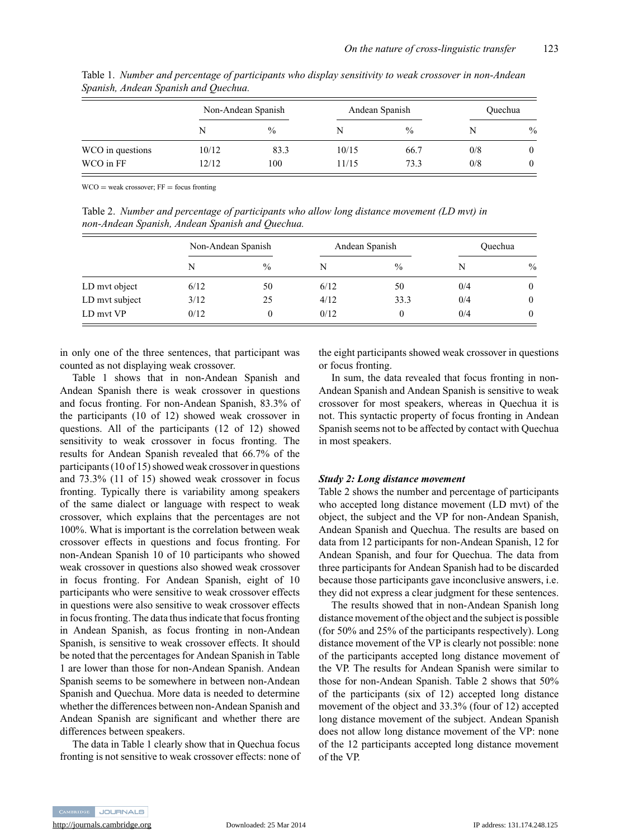|                  | Non-Andean Spanish |      | Andean Spanish |               | Quechua |               |
|------------------|--------------------|------|----------------|---------------|---------|---------------|
|                  | N                  | $\%$ | N              | $\frac{0}{0}$ | N       | $\frac{0}{0}$ |
| WCO in questions | 10/12              | 83.3 | 10/15          | 66.7          | 0/8     | $\mathbf{0}$  |
| WCO in FF        | 12/12              | 100  | 11/15          | 73.3          | 0/8     | $\mathbf{0}$  |

Table 1. *Number and percentage of participants who display sensitivity to weak crossover in non-Andean Spanish, Andean Spanish and Quechua.*

 $WCO =$  weak crossover;  $FF =$  focus fronting

Table 2. *Number and percentage of participants who allow long distance movement (LD mvt) in non-Andean Spanish, Andean Spanish and Quechua.*

|                | Non-Andean Spanish |               |      | Andean Spanish | Ouechua |                |
|----------------|--------------------|---------------|------|----------------|---------|----------------|
|                | N                  | $\frac{0}{0}$ | N    | $\frac{0}{0}$  | N       | $\frac{0}{0}$  |
| LD myt object  | 6/12               | 50            | 6/12 | 50             | 0/4     | $\overline{0}$ |
| LD mvt subject | 3/12               | 25            | 4/12 | 33.3           | 0/4     | $\mathbf{0}$   |
| LD myt VP      | 0/12               |               | 0/12 | 0              | 0/4     | $\mathbf{0}$   |

in only one of the three sentences, that participant was counted as not displaying weak crossover.

Table 1 shows that in non-Andean Spanish and Andean Spanish there is weak crossover in questions and focus fronting. For non-Andean Spanish, 83.3% of the participants (10 of 12) showed weak crossover in questions. All of the participants (12 of 12) showed sensitivity to weak crossover in focus fronting. The results for Andean Spanish revealed that 66.7% of the participants (10 of 15) showed weak crossover in questions and 73.3% (11 of 15) showed weak crossover in focus fronting. Typically there is variability among speakers of the same dialect or language with respect to weak crossover, which explains that the percentages are not 100%. What is important is the correlation between weak crossover effects in questions and focus fronting. For non-Andean Spanish 10 of 10 participants who showed weak crossover in questions also showed weak crossover in focus fronting. For Andean Spanish, eight of 10 participants who were sensitive to weak crossover effects in questions were also sensitive to weak crossover effects in focus fronting. The data thus indicate that focus fronting in Andean Spanish, as focus fronting in non-Andean Spanish, is sensitive to weak crossover effects. It should be noted that the percentages for Andean Spanish in Table 1 are lower than those for non-Andean Spanish. Andean Spanish seems to be somewhere in between non-Andean Spanish and Quechua. More data is needed to determine whether the differences between non-Andean Spanish and Andean Spanish are significant and whether there are differences between speakers.

The data in Table 1 clearly show that in Quechua focus fronting is not sensitive to weak crossover effects: none of the eight participants showed weak crossover in questions or focus fronting.

In sum, the data revealed that focus fronting in non-Andean Spanish and Andean Spanish is sensitive to weak crossover for most speakers, whereas in Quechua it is not. This syntactic property of focus fronting in Andean Spanish seems not to be affected by contact with Quechua in most speakers.

#### *Study 2: Long distance movement*

Table 2 shows the number and percentage of participants who accepted long distance movement (LD mvt) of the object, the subject and the VP for non-Andean Spanish, Andean Spanish and Quechua. The results are based on data from 12 participants for non-Andean Spanish, 12 for Andean Spanish, and four for Quechua. The data from three participants for Andean Spanish had to be discarded because those participants gave inconclusive answers, i.e. they did not express a clear judgment for these sentences.

The results showed that in non-Andean Spanish long distance movement of the object and the subject is possible (for 50% and 25% of the participants respectively). Long distance movement of the VP is clearly not possible: none of the participants accepted long distance movement of the VP. The results for Andean Spanish were similar to those for non-Andean Spanish. Table 2 shows that 50% of the participants (six of 12) accepted long distance movement of the object and 33.3% (four of 12) accepted long distance movement of the subject. Andean Spanish does not allow long distance movement of the VP: none of the 12 participants accepted long distance movement of the VP.

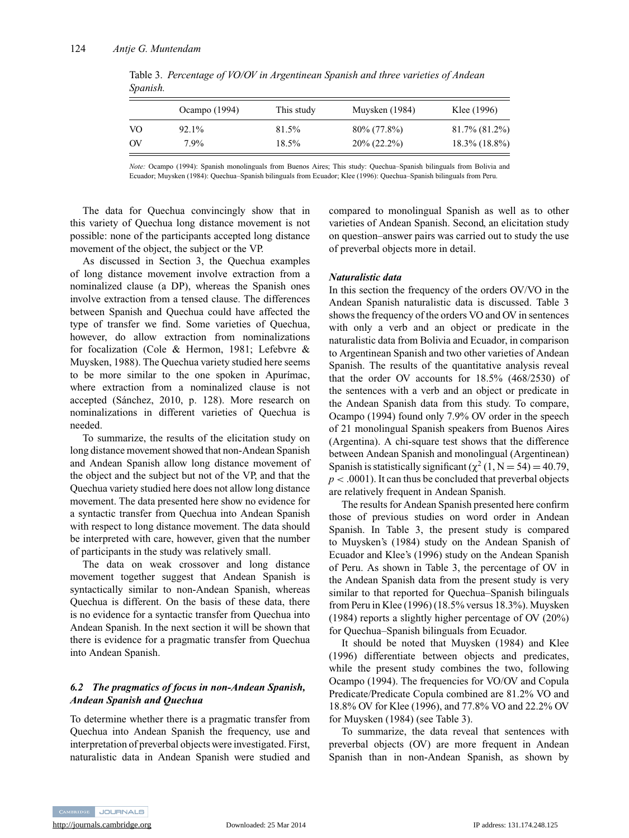|    | Ocampo (1994) | This study | Muysken (1984)  | Klee (1996)         |
|----|---------------|------------|-----------------|---------------------|
| VO | $92.1\%$      | 81.5%      | 80% (77.8%)     | $81.7\%$ $(81.2\%)$ |
| OV | 7.9%          | 18.5%      | $20\% (22.2\%)$ | 18.3% (18.8%)       |

Table 3. *Percentage of VO/OV in Argentinean Spanish and three varieties of Andean Spanish.*

*Note:* Ocampo (1994): Spanish monolinguals from Buenos Aires; This study: Quechua–Spanish bilinguals from Bolivia and Ecuador; Muysken (1984): Quechua–Spanish bilinguals from Ecuador; Klee (1996): Quechua–Spanish bilinguals from Peru.

The data for Quechua convincingly show that in this variety of Quechua long distance movement is not possible: none of the participants accepted long distance movement of the object, the subject or the VP.

As discussed in Section 3, the Quechua examples of long distance movement involve extraction from a nominalized clause (a DP), whereas the Spanish ones involve extraction from a tensed clause. The differences between Spanish and Quechua could have affected the type of transfer we find. Some varieties of Quechua, however, do allow extraction from nominalizations for focalization (Cole & Hermon, 1981; Lefebvre & Muysken, 1988). The Quechua variety studied here seems to be more similar to the one spoken in Apurímac, where extraction from a nominalized clause is not accepted (Sánchez, 2010, p. 128). More research on nominalizations in different varieties of Quechua is needed.

To summarize, the results of the elicitation study on long distance movement showed that non-Andean Spanish and Andean Spanish allow long distance movement of the object and the subject but not of the VP, and that the Quechua variety studied here does not allow long distance movement. The data presented here show no evidence for a syntactic transfer from Quechua into Andean Spanish with respect to long distance movement. The data should be interpreted with care, however, given that the number of participants in the study was relatively small.

The data on weak crossover and long distance movement together suggest that Andean Spanish is syntactically similar to non-Andean Spanish, whereas Quechua is different. On the basis of these data, there is no evidence for a syntactic transfer from Quechua into Andean Spanish. In the next section it will be shown that there is evidence for a pragmatic transfer from Quechua into Andean Spanish.

## *6.2 The pragmatics of focus in non-Andean Spanish, Andean Spanish and Quechua*

To determine whether there is a pragmatic transfer from Quechua into Andean Spanish the frequency, use and interpretation of preverbal objects were investigated. First, naturalistic data in Andean Spanish were studied and compared to monolingual Spanish as well as to other varieties of Andean Spanish. Second, an elicitation study on question–answer pairs was carried out to study the use of preverbal objects more in detail.

## *Naturalistic data*

In this section the frequency of the orders OV/VO in the Andean Spanish naturalistic data is discussed. Table 3 shows the frequency of the orders VO and OV in sentences with only a verb and an object or predicate in the naturalistic data from Bolivia and Ecuador, in comparison to Argentinean Spanish and two other varieties of Andean Spanish. The results of the quantitative analysis reveal that the order OV accounts for 18.5% (468/2530) of the sentences with a verb and an object or predicate in the Andean Spanish data from this study. To compare, Ocampo (1994) found only 7.9% OV order in the speech of 21 monolingual Spanish speakers from Buenos Aires (Argentina). A chi-square test shows that the difference between Andean Spanish and monolingual (Argentinean) Spanish is statistically significant ( $\chi^2$  (1, N = 54) = 40.79,  $p < .0001$ ). It can thus be concluded that preverbal objects are relatively frequent in Andean Spanish.

The results for Andean Spanish presented here confirm those of previous studies on word order in Andean Spanish. In Table 3, the present study is compared to Muysken's (1984) study on the Andean Spanish of Ecuador and Klee's (1996) study on the Andean Spanish of Peru. As shown in Table 3, the percentage of OV in the Andean Spanish data from the present study is very similar to that reported for Quechua–Spanish bilinguals from Peru in Klee (1996) (18.5% versus 18.3%). Muysken (1984) reports a slightly higher percentage of OV (20%) for Quechua–Spanish bilinguals from Ecuador.

It should be noted that Muysken (1984) and Klee (1996) differentiate between objects and predicates, while the present study combines the two, following Ocampo (1994). The frequencies for VO/OV and Copula Predicate/Predicate Copula combined are 81.2% VO and 18.8% OV for Klee (1996), and 77.8% VO and 22.2% OV for Muysken (1984) (see Table 3).

To summarize, the data reveal that sentences with preverbal objects (OV) are more frequent in Andean Spanish than in non-Andean Spanish, as shown by

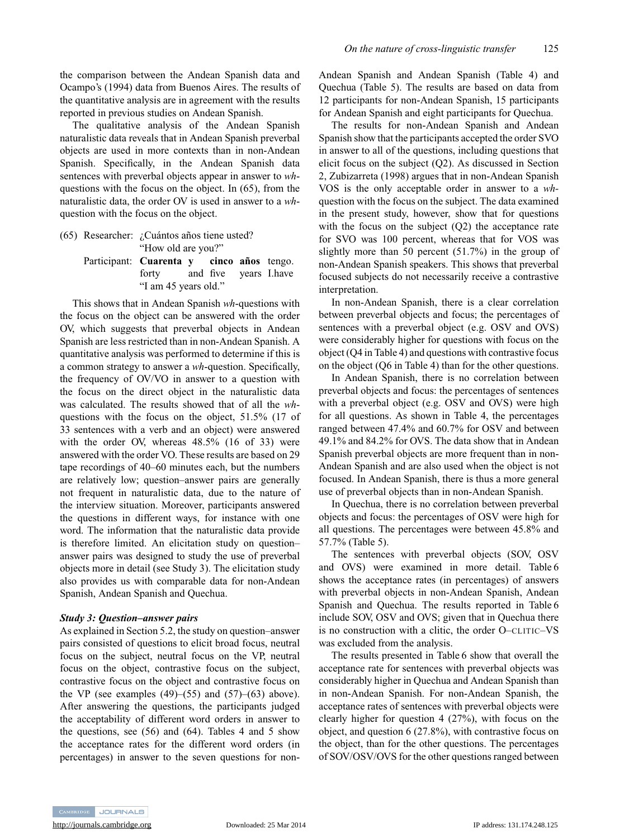the comparison between the Andean Spanish data and Ocampo's (1994) data from Buenos Aires. The results of the quantitative analysis are in agreement with the results reported in previous studies on Andean Spanish.

The qualitative analysis of the Andean Spanish naturalistic data reveals that in Andean Spanish preverbal objects are used in more contexts than in non-Andean Spanish. Specifically, in the Andean Spanish data sentences with preverbal objects appear in answer to *wh*questions with the focus on the object. In (65), from the naturalistic data, the order OV is used in answer to a *wh*question with the focus on the object.

|                                           | $(65)$ Researcher: <i>i</i> Cuántos años tiene usted? |  |  |  |  |
|-------------------------------------------|-------------------------------------------------------|--|--|--|--|
|                                           | "How old are you?"                                    |  |  |  |  |
| Participant: Cuarenta y cinco años tengo. |                                                       |  |  |  |  |
|                                           | forty and five years I.have                           |  |  |  |  |
|                                           | "I am 45 years old."                                  |  |  |  |  |

This shows that in Andean Spanish *wh*-questions with the focus on the object can be answered with the order OV, which suggests that preverbal objects in Andean Spanish are less restricted than in non-Andean Spanish. A quantitative analysis was performed to determine if this is a common strategy to answer a *wh*-question. Specifically, the frequency of OV/VO in answer to a question with the focus on the direct object in the naturalistic data was calculated. The results showed that of all the *wh*questions with the focus on the object, 51.5% (17 of 33 sentences with a verb and an object) were answered with the order OV, whereas 48.5% (16 of 33) were answered with the order VO. These results are based on 29 tape recordings of 40–60 minutes each, but the numbers are relatively low; question–answer pairs are generally not frequent in naturalistic data, due to the nature of the interview situation. Moreover, participants answered the questions in different ways, for instance with one word. The information that the naturalistic data provide is therefore limited. An elicitation study on question– answer pairs was designed to study the use of preverbal objects more in detail (see Study 3). The elicitation study also provides us with comparable data for non-Andean Spanish, Andean Spanish and Quechua.

#### *Study 3: Question–answer pairs*

As explained in Section 5.2, the study on question–answer pairs consisted of questions to elicit broad focus, neutral focus on the subject, neutral focus on the VP, neutral focus on the object, contrastive focus on the subject, contrastive focus on the object and contrastive focus on the VP (see examples  $(49)$ – $(55)$  and  $(57)$ – $(63)$  above). After answering the questions, the participants judged the acceptability of different word orders in answer to the questions, see (56) and (64). Tables 4 and 5 show the acceptance rates for the different word orders (in percentages) in answer to the seven questions for nonAndean Spanish and Andean Spanish (Table 4) and Quechua (Table 5). The results are based on data from 12 participants for non-Andean Spanish, 15 participants for Andean Spanish and eight participants for Quechua.

The results for non-Andean Spanish and Andean Spanish show that the participants accepted the order SVO in answer to all of the questions, including questions that elicit focus on the subject (Q2). As discussed in Section 2, Zubizarreta (1998) argues that in non-Andean Spanish VOS is the only acceptable order in answer to a *wh*question with the focus on the subject. The data examined in the present study, however, show that for questions with the focus on the subject (Q2) the acceptance rate for SVO was 100 percent, whereas that for VOS was slightly more than 50 percent (51.7%) in the group of non-Andean Spanish speakers. This shows that preverbal focused subjects do not necessarily receive a contrastive interpretation.

In non-Andean Spanish, there is a clear correlation between preverbal objects and focus; the percentages of sentences with a preverbal object (e.g. OSV and OVS) were considerably higher for questions with focus on the object (Q4 in Table 4) and questions with contrastive focus on the object (Q6 in Table 4) than for the other questions.

In Andean Spanish, there is no correlation between preverbal objects and focus: the percentages of sentences with a preverbal object (e.g. OSV and OVS) were high for all questions. As shown in Table 4, the percentages ranged between 47.4% and 60.7% for OSV and between 49.1% and 84.2% for OVS. The data show that in Andean Spanish preverbal objects are more frequent than in non-Andean Spanish and are also used when the object is not focused. In Andean Spanish, there is thus a more general use of preverbal objects than in non-Andean Spanish.

In Quechua, there is no correlation between preverbal objects and focus: the percentages of OSV were high for all questions. The percentages were between 45.8% and 57.7% (Table 5).

The sentences with preverbal objects (SOV, OSV and OVS) were examined in more detail. Table 6 shows the acceptance rates (in percentages) of answers with preverbal objects in non-Andean Spanish, Andean Spanish and Quechua. The results reported in Table 6 include SOV, OSV and OVS; given that in Quechua there is no construction with a clitic, the order O–CLITIC–VS was excluded from the analysis.

The results presented in Table 6 show that overall the acceptance rate for sentences with preverbal objects was considerably higher in Quechua and Andean Spanish than in non-Andean Spanish. For non-Andean Spanish, the acceptance rates of sentences with preverbal objects were clearly higher for question 4 (27%), with focus on the object, and question 6 (27.8%), with contrastive focus on the object, than for the other questions. The percentages of SOV/OSV/OVS for the other questions ranged between

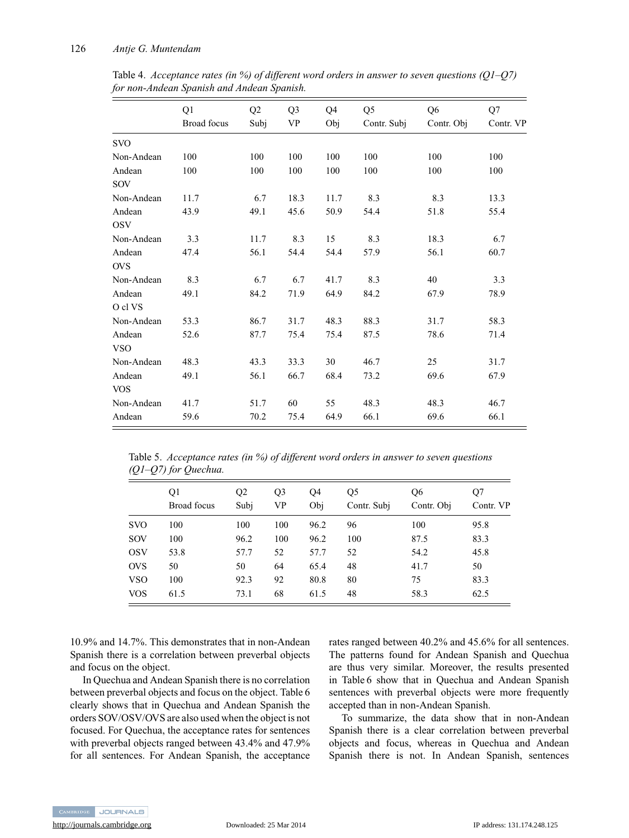## 126 *Antje G. Muntendam*

|                      | Q1<br>Broad focus | Q2<br>Subj | Q <sub>3</sub><br>VP | Q4<br>Obj | Q <sub>5</sub><br>Contr. Subj | Q <sub>6</sub><br>Contr. Obj | Q7<br>Contr. VP |
|----------------------|-------------------|------------|----------------------|-----------|-------------------------------|------------------------------|-----------------|
| <b>SVO</b>           |                   |            |                      |           |                               |                              |                 |
| Non-Andean           | 100               | 100        | 100                  | 100       | 100                           | 100                          | 100             |
| Andean<br>SOV        | 100               | 100        | 100                  | 100       | 100                           | 100                          | 100             |
| Non-Andean           | 11.7              | 6.7        | 18.3                 | 11.7      | 8.3                           | 8.3                          | 13.3            |
| Andean<br><b>OSV</b> | 43.9              | 49.1       | 45.6                 | 50.9      | 54.4                          | 51.8                         | 55.4            |
| Non-Andean           | 3.3               | 11.7       | 8.3                  | 15        | 8.3                           | 18.3                         | 6.7             |
| Andean<br><b>OVS</b> | 47.4              | 56.1       | 54.4                 | 54.4      | 57.9                          | 56.1                         | 60.7            |
| Non-Andean           | 8.3               | 6.7        | 6.7                  | 41.7      | 8.3                           | 40                           | 3.3             |
| Andean<br>O cl VS    | 49.1              | 84.2       | 71.9                 | 64.9      | 84.2                          | 67.9                         | 78.9            |
| Non-Andean           | 53.3              | 86.7       | 31.7                 | 48.3      | 88.3                          | 31.7                         | 58.3            |
| Andean<br><b>VSO</b> | 52.6              | 87.7       | 75.4                 | 75.4      | 87.5                          | 78.6                         | 71.4            |
| Non-Andean           | 48.3              | 43.3       | 33.3                 | 30        | 46.7                          | 25                           | 31.7            |
| Andean<br><b>VOS</b> | 49.1              | 56.1       | 66.7                 | 68.4      | 73.2                          | 69.6                         | 67.9            |
| Non-Andean           | 41.7              | 51.7       | 60                   | 55        | 48.3                          | 48.3                         | 46.7            |
| Andean               | 59.6              | 70.2       | 75.4                 | 64.9      | 66.1                          | 69.6                         | 66.1            |
|                      |                   |            |                      |           |                               |                              |                 |

Table 4. *Acceptance rates (in %) of different word orders in answer to seven questions (Q1–Q7) for non-Andean Spanish and Andean Spanish.*

Table 5. *Acceptance rates (in %) of different word orders in answer to seven questions (Q1–Q7) for Quechua.*

|            | Q1<br><b>Broad</b> focus | Q2<br>Subj | Q <sub>3</sub><br>VP | Q4<br>Obj | Q5<br>Contr. Subj | Q6<br>Contr. Obj | Q7<br>Contr. VP |
|------------|--------------------------|------------|----------------------|-----------|-------------------|------------------|-----------------|
| <b>SVO</b> | 100                      | 100        | 100                  | 96.2      | 96                | 100              | 95.8            |
| <b>SOV</b> | 100                      | 96.2       | 100                  | 96.2      | 100               | 87.5             | 83.3            |
| <b>OSV</b> | 53.8                     | 57.7       | 52                   | 57.7      | 52                | 54.2             | 45.8            |
| <b>OVS</b> | 50                       | 50         | 64                   | 65.4      | 48                | 41.7             | 50              |
| <b>VSO</b> | 100                      | 92.3       | 92                   | 80.8      | 80                | 75               | 83.3            |
| <b>VOS</b> | 61.5                     | 73.1       | 68                   | 61.5      | 48                | 58.3             | 62.5            |

10.9% and 14.7%. This demonstrates that in non-Andean Spanish there is a correlation between preverbal objects and focus on the object.

In Quechua and Andean Spanish there is no correlation between preverbal objects and focus on the object. Table 6 clearly shows that in Quechua and Andean Spanish the orders SOV/OSV/OVS are also used when the object is not focused. For Quechua, the acceptance rates for sentences with preverbal objects ranged between 43.4% and 47.9% for all sentences. For Andean Spanish, the acceptance rates ranged between 40.2% and 45.6% for all sentences. The patterns found for Andean Spanish and Quechua are thus very similar. Moreover, the results presented in Table 6 show that in Quechua and Andean Spanish sentences with preverbal objects were more frequently accepted than in non-Andean Spanish.

To summarize, the data show that in non-Andean Spanish there is a clear correlation between preverbal objects and focus, whereas in Quechua and Andean Spanish there is not. In Andean Spanish, sentences

CAMBRIDGE JOURNALS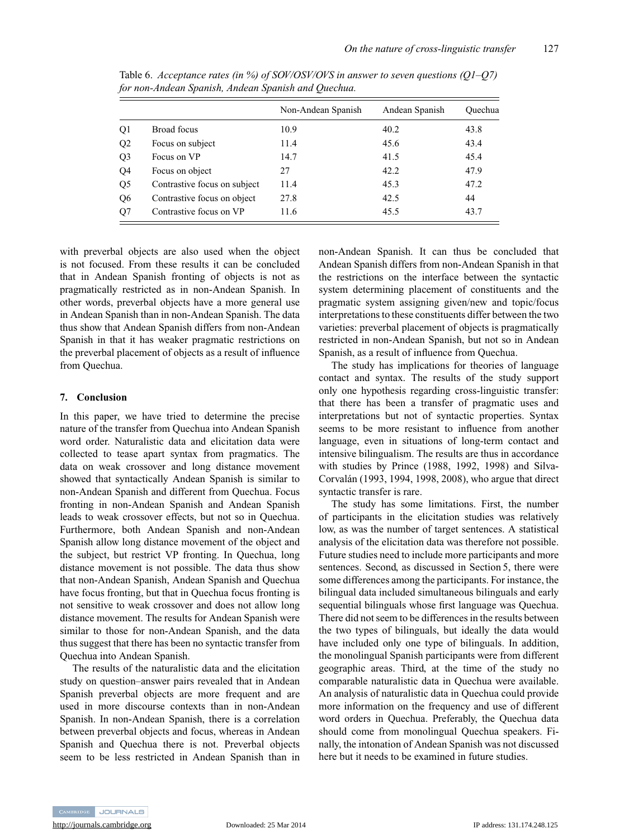|                |                              | Non-Andean Spanish | Andean Spanish | Ouechua |
|----------------|------------------------------|--------------------|----------------|---------|
| Q1             | Broad focus                  | 10.9               | 40.2           | 43.8    |
| Q <sub>2</sub> | Focus on subject             | 11.4               | 45.6           | 43.4    |
| Q <sub>3</sub> | Focus on VP                  | 14.7               | 41.5           | 45.4    |
| Q <sub>4</sub> | Focus on object              | 27                 | 42.2           | 47.9    |
| Q <sub>5</sub> | Contrastive focus on subject | 11.4               | 45.3           | 47.2    |
| Q <sub>6</sub> | Contrastive focus on object  | 27.8               | 42.5           | 44      |
| Q <sub>7</sub> | Contrastive focus on VP      | 11.6               | 45.5           | 43.7    |

Table 6. *Acceptance rates (in %) of SOV/OSV/OVS in answer to seven questions (Q1–Q7) for non-Andean Spanish, Andean Spanish and Quechua.*

with preverbal objects are also used when the object is not focused. From these results it can be concluded that in Andean Spanish fronting of objects is not as pragmatically restricted as in non-Andean Spanish. In other words, preverbal objects have a more general use in Andean Spanish than in non-Andean Spanish. The data thus show that Andean Spanish differs from non-Andean Spanish in that it has weaker pragmatic restrictions on the preverbal placement of objects as a result of influence from Quechua.

## **7. Conclusion**

In this paper, we have tried to determine the precise nature of the transfer from Quechua into Andean Spanish word order. Naturalistic data and elicitation data were collected to tease apart syntax from pragmatics. The data on weak crossover and long distance movement showed that syntactically Andean Spanish is similar to non-Andean Spanish and different from Quechua. Focus fronting in non-Andean Spanish and Andean Spanish leads to weak crossover effects, but not so in Quechua. Furthermore, both Andean Spanish and non-Andean Spanish allow long distance movement of the object and the subject, but restrict VP fronting. In Quechua, long distance movement is not possible. The data thus show that non-Andean Spanish, Andean Spanish and Quechua have focus fronting, but that in Quechua focus fronting is not sensitive to weak crossover and does not allow long distance movement. The results for Andean Spanish were similar to those for non-Andean Spanish, and the data thus suggest that there has been no syntactic transfer from Quechua into Andean Spanish.

The results of the naturalistic data and the elicitation study on question–answer pairs revealed that in Andean Spanish preverbal objects are more frequent and are used in more discourse contexts than in non-Andean Spanish. In non-Andean Spanish, there is a correlation between preverbal objects and focus, whereas in Andean Spanish and Quechua there is not. Preverbal objects seem to be less restricted in Andean Spanish than in non-Andean Spanish. It can thus be concluded that Andean Spanish differs from non-Andean Spanish in that the restrictions on the interface between the syntactic system determining placement of constituents and the pragmatic system assigning given/new and topic/focus interpretations to these constituents differ between the two varieties: preverbal placement of objects is pragmatically restricted in non-Andean Spanish, but not so in Andean Spanish, as a result of influence from Quechua.

The study has implications for theories of language contact and syntax. The results of the study support only one hypothesis regarding cross-linguistic transfer: that there has been a transfer of pragmatic uses and interpretations but not of syntactic properties. Syntax seems to be more resistant to influence from another language, even in situations of long-term contact and intensive bilingualism. The results are thus in accordance with studies by Prince (1988, 1992, 1998) and Silva-Corvalán (1993, 1994, 1998, 2008), who argue that direct syntactic transfer is rare.

The study has some limitations. First, the number of participants in the elicitation studies was relatively low, as was the number of target sentences. A statistical analysis of the elicitation data was therefore not possible. Future studies need to include more participants and more sentences. Second, as discussed in Section 5, there were some differences among the participants. For instance, the bilingual data included simultaneous bilinguals and early sequential bilinguals whose first language was Quechua. There did not seem to be differences in the results between the two types of bilinguals, but ideally the data would have included only one type of bilinguals. In addition, the monolingual Spanish participants were from different geographic areas. Third, at the time of the study no comparable naturalistic data in Quechua were available. An analysis of naturalistic data in Quechua could provide more information on the frequency and use of different word orders in Quechua. Preferably, the Quechua data should come from monolingual Quechua speakers. Finally, the intonation of Andean Spanish was not discussed here but it needs to be examined in future studies.

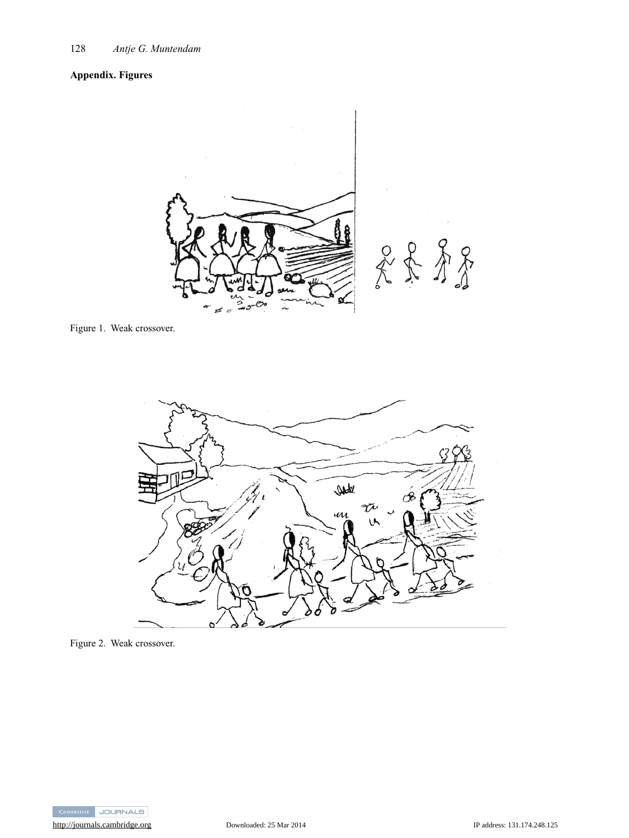## **Appendix. Figures**



Figure 1. Weak crossover.



Figure 2. Weak crossover.

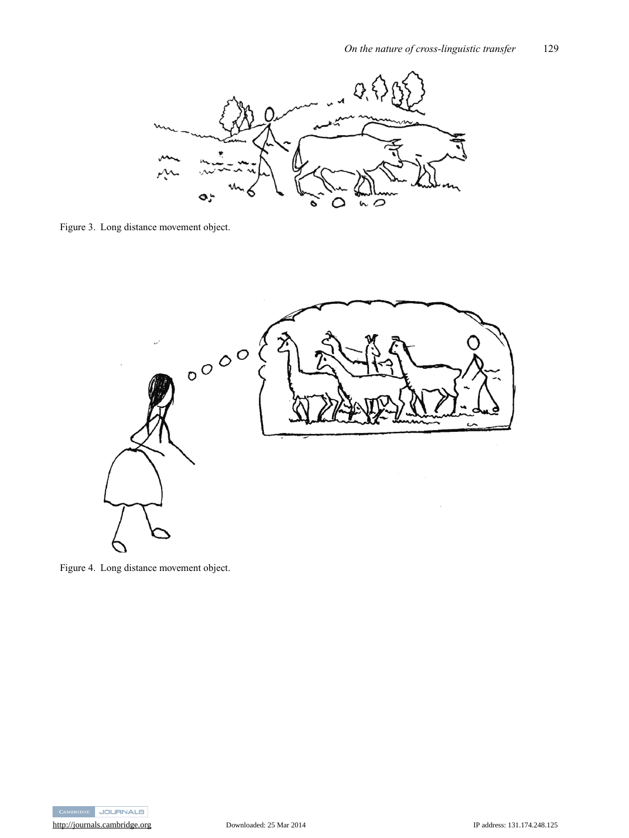

Figure 3. Long distance movement object.





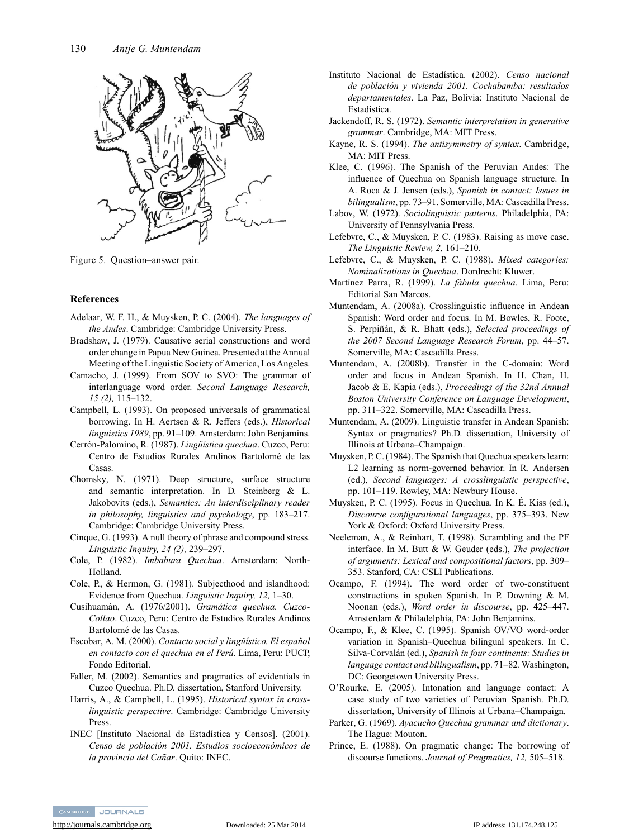

Figure 5. Question–answer pair.

#### **References**

- Adelaar, W. F. H., & Muysken, P. C. (2004). *The languages of the Andes*. Cambridge: Cambridge University Press.
- Bradshaw, J. (1979). Causative serial constructions and word order change in Papua New Guinea. Presented at the Annual Meeting of the Linguistic Society of America, Los Angeles.
- Camacho, J. (1999). From SOV to SVO: The grammar of interlanguage word order. *Second Language Research, 15 (2),* 115–132.
- Campbell, L. (1993). On proposed universals of grammatical borrowing. In H. Aertsen & R. Jeffers (eds.), *Historical linguistics 1989*, pp. 91–109. Amsterdam: John Benjamins.
- Cerrón-Palomino, R. (1987). *Lingüística quechua*. Cuzco, Peru: Centro de Estudios Rurales Andinos Bartolomé de las Casas.
- Chomsky, N. (1971). Deep structure, surface structure and semantic interpretation. In D. Steinberg & L. Jakobovits (eds.), *Semantics: An interdisciplinary reader in philosophy, linguistics and psychology*, pp. 183–217. Cambridge: Cambridge University Press.
- Cinque, G. (1993). A null theory of phrase and compound stress. *Linguistic Inquiry, 24 (2),* 239–297.
- Cole, P. (1982). *Imbabura Quechua*. Amsterdam: North-Holland.
- Cole, P., & Hermon, G. (1981). Subjecthood and islandhood: Evidence from Quechua. *Linguistic Inquiry, 12,* 1–30.
- Cusihuamán, A. (1976/2001). *Gramática quechua. Cuzco-Collao*. Cuzco, Peru: Centro de Estudios Rurales Andinos Bartolomé de las Casas.
- Escobar, A. M. (2000). *Contacto social y lingüístico. El español en contacto con el quechua en el Perú*. Lima, Peru: PUCP, Fondo Editorial.
- Faller, M. (2002). Semantics and pragmatics of evidentials in Cuzco Quechua. Ph.D. dissertation, Stanford University.
- Harris, A., & Campbell, L. (1995). *Historical syntax in crosslinguistic perspective*. Cambridge: Cambridge University Press.
- INEC [Instituto Nacional de Estadística y Censos]. (2001). *Censo de población 2001. Estudios socioeconómicos de la provincia del Cañar*. Quito: INEC.
- Instituto Nacional de Estadística. (2002). *Censo nacional de población y vivienda 2001. Cochabamba: resultados departamentales*. La Paz, Bolivia: Instituto Nacional de Estadística.
- Jackendoff, R. S. (1972). *Semantic interpretation in generative grammar*. Cambridge, MA: MIT Press.
- Kayne, R. S. (1994). *The antisymmetry of syntax*. Cambridge, MA: MIT Press.
- Klee, C. (1996). The Spanish of the Peruvian Andes: The influence of Quechua on Spanish language structure. In A. Roca & J. Jensen (eds.), *Spanish in contact: Issues in bilingualism*, pp. 73–91. Somerville, MA: Cascadilla Press.
- Labov, W. (1972). *Sociolinguistic patterns*. Philadelphia, PA: University of Pennsylvania Press.
- Lefebvre, C., & Muysken, P. C. (1983). Raising as move case. *The Linguistic Review, 2,* 161–210.
- Lefebvre, C., & Muysken, P. C. (1988). *Mixed categories: Nominalizations in Quechua*. Dordrecht: Kluwer.
- Martínez Parra, R. (1999). *La fábula quechua*. Lima, Peru: Editorial San Marcos.
- Muntendam, A. (2008a). Crosslinguistic influence in Andean Spanish: Word order and focus. In M. Bowles, R. Foote, S. Perpiñán, & R. Bhatt (eds.), *Selected proceedings of the 2007 Second Language Research Forum*, pp. 44–57. Somerville, MA: Cascadilla Press.
- Muntendam, A. (2008b). Transfer in the C-domain: Word order and focus in Andean Spanish. In H. Chan, H. Jacob & E. Kapia (eds.), *Proceedings of the 32nd Annual Boston University Conference on Language Development*, pp. 311–322. Somerville, MA: Cascadilla Press.
- Muntendam, A. (2009). Linguistic transfer in Andean Spanish: Syntax or pragmatics? Ph.D. dissertation, University of Illinois at Urbana–Champaign.
- Muysken, P. C. (1984). The Spanish that Quechua speakers learn: L2 learning as norm-governed behavior. In R. Andersen (ed.), *Second languages: A crosslinguistic perspective*, pp. 101–119. Rowley, MA: Newbury House.
- Muysken, P. C. (1995). Focus in Quechua. In K. É. Kiss (ed.), *Discourse configurational languages*, pp. 375–393. New York & Oxford: Oxford University Press.
- Neeleman, A., & Reinhart, T. (1998). Scrambling and the PF interface. In M. Butt & W. Geuder (eds.), *The projection of arguments: Lexical and compositional factors*, pp. 309– 353. Stanford, CA: CSLI Publications.
- Ocampo, F. (1994). The word order of two-constituent constructions in spoken Spanish. In P. Downing & M. Noonan (eds.), *Word order in discourse*, pp. 425–447. Amsterdam & Philadelphia, PA: John Benjamins.
- Ocampo, F., & Klee, C. (1995). Spanish OV/VO word-order variation in Spanish–Quechua bilingual speakers. In C. Silva-Corvalán (ed.), *Spanish in four continents: Studies in language contact and bilingualism*, pp. 71–82. Washington, DC: Georgetown University Press.
- O'Rourke, E. (2005). Intonation and language contact: A case study of two varieties of Peruvian Spanish. Ph.D. dissertation, University of Illinois at Urbana–Champaign.
- Parker, G. (1969). *Ayacucho Quechua grammar and dictionary*. The Hague: Mouton.
- Prince, E. (1988). On pragmatic change: The borrowing of discourse functions. *Journal of Pragmatics, 12,* 505–518.



<http://journals.cambridge.org> Downloaded: 25 Mar 2014 IP address: 131.174.248.125